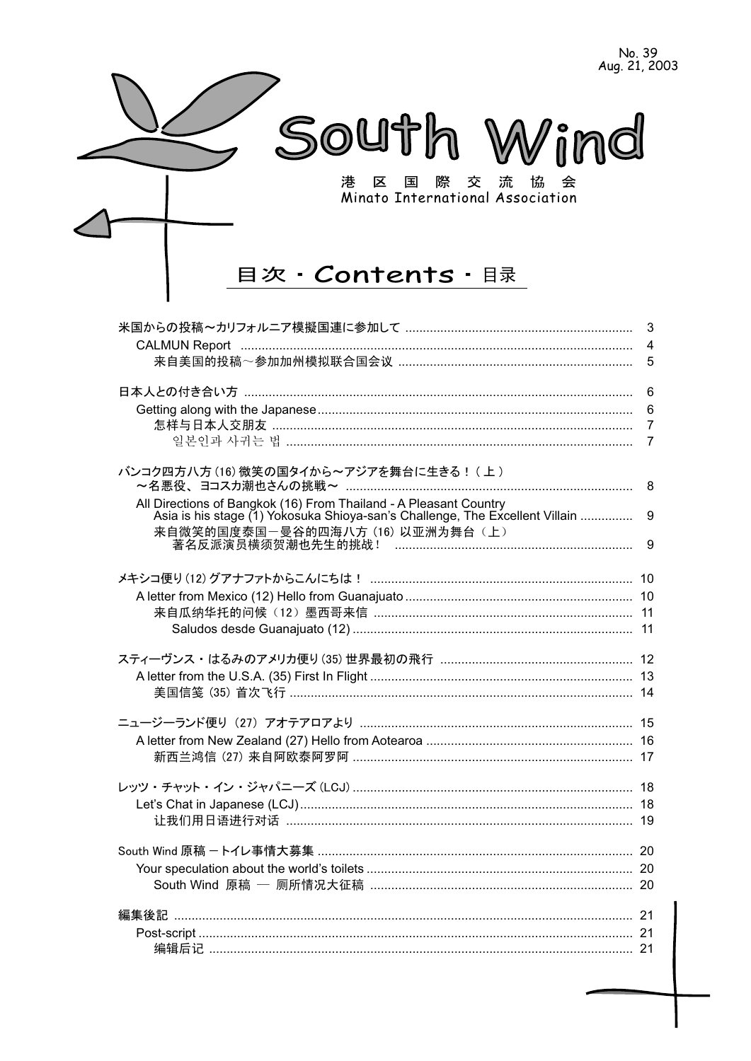No. 39<br>Aug. 21, 2003



# 目次·Contents·

|                                                                              | 3               |
|------------------------------------------------------------------------------|-----------------|
|                                                                              | $\overline{4}$  |
|                                                                              | 5               |
|                                                                              |                 |
|                                                                              | $6\phantom{1}6$ |
|                                                                              | 6               |
|                                                                              | $\overline{7}$  |
|                                                                              | $\overline{7}$  |
|                                                                              |                 |
| バンコク四方八方(16)微笑の国タイから~アジアを舞台に生きる!(上)                                          |                 |
|                                                                              |                 |
| All Directions of Bangkok (16) From Thailand - A Pleasant Country            |                 |
| Asia is his stage (1) Yokosuka Shioya-san's Challenge, The Excellent Villain | 9               |
| 来自微笑的国度泰国一曼谷的四海八方 (16) 以亚洲为舞台 (上)                                            |                 |
|                                                                              | 9               |
|                                                                              |                 |
|                                                                              |                 |
|                                                                              |                 |
|                                                                              |                 |
|                                                                              |                 |
|                                                                              |                 |
|                                                                              |                 |
|                                                                              |                 |
| 美国信笺 (35) 首次飞行 …………………………………………………………………………………… 14                           |                 |
|                                                                              |                 |
|                                                                              |                 |
|                                                                              |                 |
|                                                                              |                 |
|                                                                              |                 |
|                                                                              |                 |
|                                                                              |                 |
|                                                                              |                 |
|                                                                              |                 |
|                                                                              |                 |
|                                                                              |                 |
|                                                                              |                 |
|                                                                              |                 |
|                                                                              |                 |
|                                                                              |                 |
|                                                                              |                 |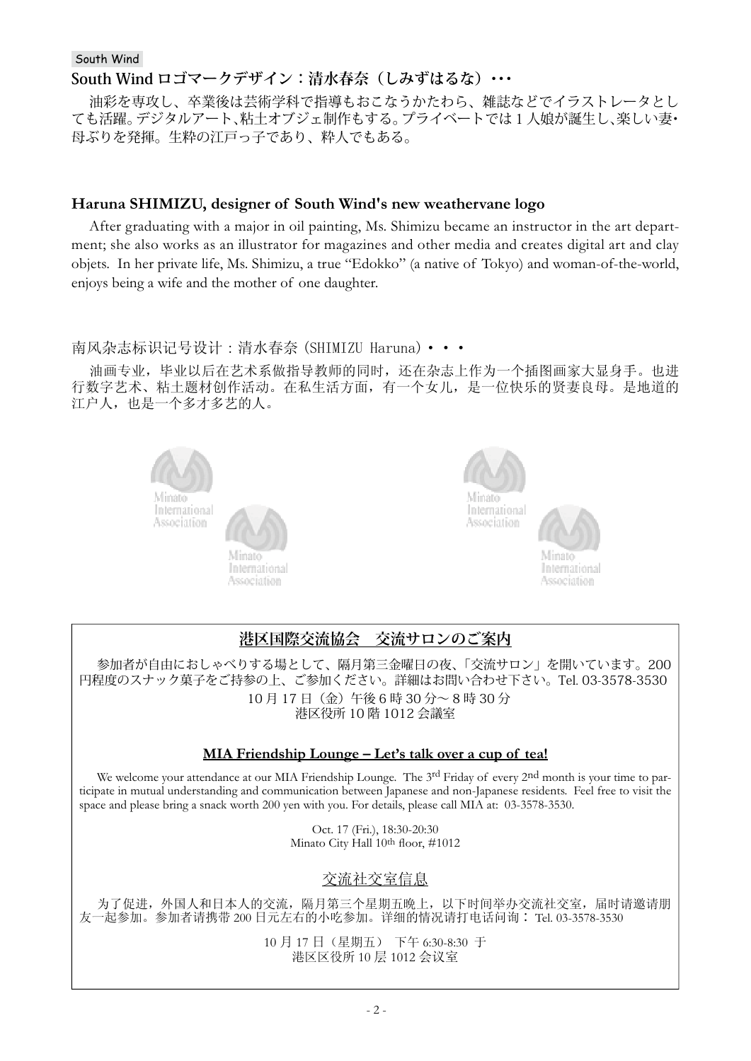### **South Wind ロゴマークデザイン:清水春奈(しみずはるな)・・・**

油彩を専攻し、卒業後は芸術学科で指導もおこなうかたわら、雑誌などでイラストレータとし ても活躍。デジタルアート、粘土オブジェ制作もする。プライベートでは1人娘が誕生し、楽しい妻・ 母ぶりを発揮。生粋の江戸っ子であり、粋人でもある。

### **Haruna SHIMIZU, designer of South Wind's new weathervane logo**

After graduating with a major in oil painting, Ms. Shimizu became an instructor in the art department; she also works as an illustrator for magazines and other media and creates digital art and clay objets. In her private life, Ms. Shimizu, a true "Edokko" (a native of Tokyo) and woman-of-the-world, enjoys being a wife and the mother of one daughter.

### 南风杂志标识记号设计:清水春奈 (SHIMIZU Haruna)•••

油画专业,毕业以后在艺术系做指导教师的同时,还在杂志上作为一个插图画家大显身手。也进 行数字艺术、粘土题材创作活动。在私生活方面, 有一个女儿, 是一位快乐的贤妻良母。是地道的 江户人,也是一个多才多艺的人。





## **港区国際交流協会 交流サロンのご案内**

参加者が自由におしゃべりする場として、隔月第三金曜日の夜、「交流サロン」を開いています。200 円程度のスナック菓子をご持参の上、ご参加ください。詳細はお問い合わせ下さい。Tel. 03-3578-3530 10 月 17 日(金)午後 6 時 30 分~ 8 時 30 分 港区役所 10 階 1012 会議室

### **MIA Friendship Lounge – Let's talk over a cup of tea!**

We welcome your attendance at our MIA Friendship Lounge. The 3<sup>rd</sup> Friday of every 2nd month is your time to participate in mutual understanding and communication between Japanese and non-Japanese residents. Feel free to visit the space and please bring a snack worth 200 yen with you. For details, please call MIA at: 03-3578-3530.

> Oct. 17 (Fri.), 18:30-20:30 Minato City Hall 10th floor, #1012

### 交流社交室信息

为了促进,外国人和日本人的交流,隔月第三个星期五晚上,以下时间举办交流社交室,届时请邀请朋 友一起参加。参加者请携带 200 日元左右的小吃参加。详细的情况请打电话问询: Tel. 03-3578-3530

> 10 月 17 日 (星期五) 下午 6:30-8:30 于 港区区役所 10 层 1012 会议室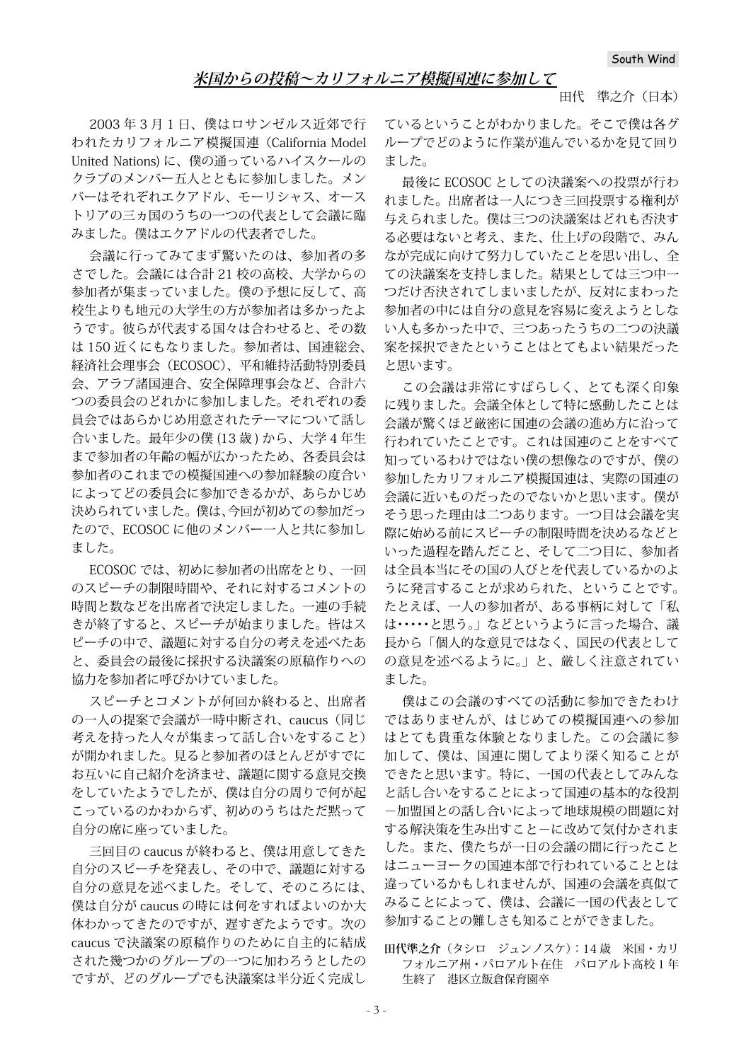#### 田代 準之介(日本)

2003 年 3 月 1 日、僕はロサンゼルス近郊で行 われたカリフォルニア模擬国連(California Model United Nations) に、僕の通っているハイスクールの クラブのメンバー五人とともに参加しました。メン バーはそれぞれエクアドル、モーリシャス、オース トリアの三ヵ国のうちの一つの代表として会議に臨 みました。僕はエクアドルの代表者でした。

会議に行ってみてまず驚いたのは、参加者の多 さでした。会議には合計 21 校の高校、大学からの 参加者が集まっていました。僕の予想に反して、高 校生よりも地元の大学生の方が参加者は多かったよ うです。彼らが代表する国々は合わせると、その数 は 150 近くにもなりました。参加者は、国連総会、 経済社会理事会(ECOSOC)、平和維持活動特別委員 会、アラブ諸国連合、安全保障理事会など、合計六 つの委員会のどれかに参加しました。それぞれの委 員会ではあらかじめ用意されたテーマについて話し 合いました。最年少の僕 (13 歳 ) から、大学 4 年生 まで参加者の年齢の幅が広かったため、各委員会は 参加者のこれまでの模擬国連への参加経験の度合い によってどの委員会に参加できるかが、あらかじめ 決められていました。僕は、今回が初めての参加だっ たので、ECOSOC に他のメンバー一人と共に参加し ました。

ECOSOC では、初めに参加者の出席をとり、一回 のスピーチの制限時間や、それに対するコメントの 時間と数などを出席者で決定しました。一連の手続 きが終了すると、スピーチが始まりました。皆はス ピーチの中で、議題に対する自分の考えを述べたあ と、委員会の最後に採択する決議案の原稿作りへの 協力を参加者に呼びかけていました。

スピーチとコメントが何回か終わると、出席者 の一人の提案で会議が一時中断され、caucus(同じ 考えを持った人々が集まって話し合いをすること) が開かれました。見ると参加者のほとんどがすでに お互いに自己紹介を済ませ、議題に関する意見交換 をしていたようでしたが、僕は自分の周りで何が起 こっているのかわからず、初めのうちはただ黙って 自分の席に座っていました。

三回目の caucus が終わると、僕は用意してきた 自分のスピーチを発表し、その中で、議題に対する 自分の意見を述べました。そして、そのころには、 僕は自分が caucus の時には何をすればよいのか大 体わかってきたのですが、遅すぎたようです。次の caucus で決議案の原稿作りのために自主的に結成 された幾つかのグループの一つに加わろうとしたの ですが、どのグループでも決議案は半分近く完成し

ているということがわかりました。そこで僕は各グ ループでどのように作業が進んでいるかを見て回り ました。

最後に ECOSOC としての決議案への投票が行わ れました。出席者は一人につき三回投票する権利が 与えられました。僕は三つの決議案はどれも否決す る必要はないと考え、また、仕上げの段階で、みん なが完成に向けて努力していたことを思い出し、全 ての決議案を支持しました。結果としては三つ中一 つだけ否決されてしまいましたが、反対にまわった 参加者の中には自分の意見を容易に変えようとしな い人も多かった中で、三つあったうちの二つの決議 案を採択できたということはとてもよい結果だった と思います。

この会議は非常にすばらしく、とても深く印象 に残りました。会議全体として特に感動したことは 会議が驚くほど厳密に国連の会議の進め方に沿って 行われていたことです。これは国連のことをすべて 知っているわけではない僕の想像なのですが、僕の 参加したカリフォルニア模擬国連は、実際の国連の 会議に近いものだったのでないかと思います。僕が そう思った理由は二つあります。一つ目は会議を実 際に始める前にスピーチの制限時間を決めるなどと いった過程を踏んだこと、そして二つ目に、参加者 は全員本当にその国の人びとを代表しているかのよ うに発言することが求められた、ということです。 たとえば、一人の参加者が、ある事柄に対して「私 は・・・・・と思う。」などというように言った場合、議 長から「個人的な意見ではなく、国民の代表として の意見を述べるように。」と、厳しく注意されてい ました。

僕はこの会議のすべての活動に参加できたわけ ではありませんが、はじめての模擬国連への参加 はとても貴重な体験となりました。この会議に参 加して、僕は、国連に関してより深く知ることが できたと思います。特に、一国の代表としてみんな と話し合いをすることによって国連の基本的な役割 -加盟国との話し合いによって地球規模の問題に対 する解決策を生み出すこと-に改めて気付かされま した。また、僕たちが一日の会議の間に行ったこと はニューヨークの国連本部で行われていることとは 違っているかもしれませんが、国連の会議を真似て みることによって、僕は、会議に一国の代表として 参加することの難しさも知ることができました。

#### **田代準之介**(タシロ ジュンノスケ):14 歳 米国・カリ フォルニア州・パロアルト在住 パロアルト高校 1 年 生終了 港区立飯倉保育園卒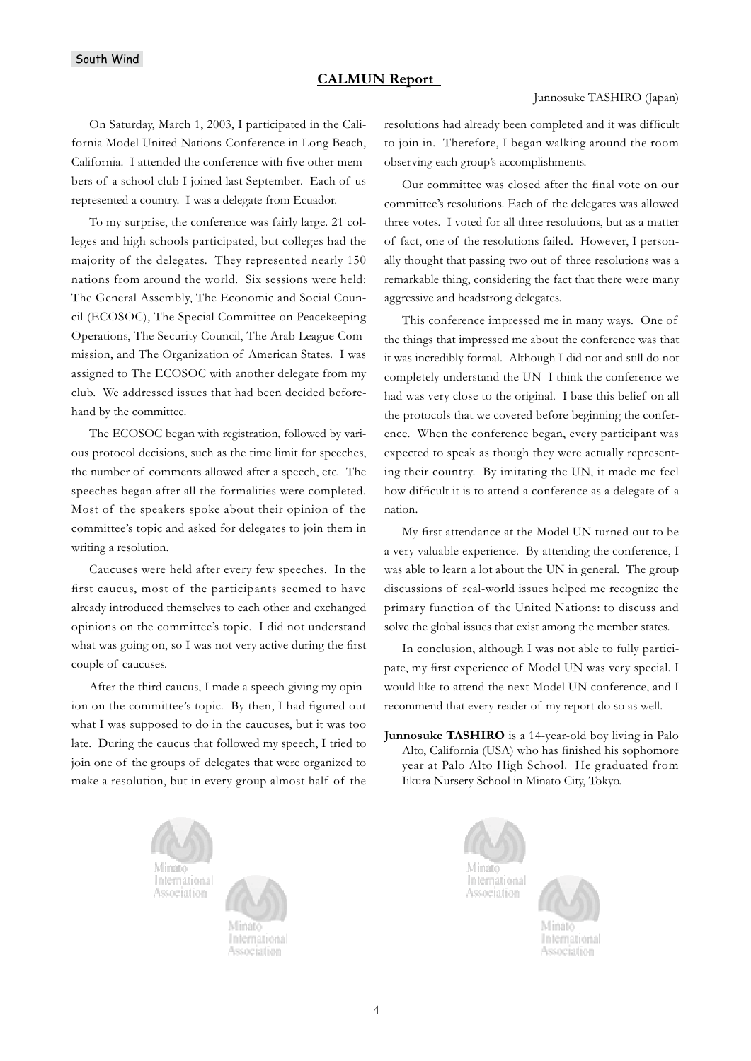#### **CALMUN Report**

#### Junnosuke TASHIRO (Japan)

On Saturday, March 1, 2003, I participated in the California Model United Nations Conference in Long Beach, California. I attended the conference with five other members of a school club I joined last September. Each of us represented a country. I was a delegate from Ecuador.

To my surprise, the conference was fairly large. 21 colleges and high schools participated, but colleges had the majority of the delegates. They represented nearly 150 nations from around the world. Six sessions were held: The General Assembly, The Economic and Social Council (ECOSOC), The Special Committee on Peacekeeping Operations, The Security Council, The Arab League Commission, and The Organization of American States. I was assigned to The ECOSOC with another delegate from my club. We addressed issues that had been decided beforehand by the committee.

The ECOSOC began with registration, followed by various protocol decisions, such as the time limit for speeches, the number of comments allowed after a speech, etc. The speeches began after all the formalities were completed. Most of the speakers spoke about their opinion of the committee's topic and asked for delegates to join them in writing a resolution.

Caucuses were held after every few speeches. In the first caucus, most of the participants seemed to have already introduced themselves to each other and exchanged opinions on the committee's topic. I did not understand what was going on, so I was not very active during the first couple of caucuses.

After the third caucus, I made a speech giving my opinion on the committee's topic. By then, I had figured out what I was supposed to do in the caucuses, but it was too late. During the caucus that followed my speech, I tried to join one of the groups of delegates that were organized to make a resolution, but in every group almost half of the

resolutions had already been completed and it was difficult to join in. Therefore, I began walking around the room observing each group's accomplishments.

Our committee was closed after the final vote on our committee's resolutions. Each of the delegates was allowed three votes. I voted for all three resolutions, but as a matter of fact, one of the resolutions failed. However, I personally thought that passing two out of three resolutions was a remarkable thing, considering the fact that there were many aggressive and headstrong delegates.

This conference impressed me in many ways. One of the things that impressed me about the conference was that it was incredibly formal. Although I did not and still do not completely understand the UN I think the conference we had was very close to the original. I base this belief on all the protocols that we covered before beginning the conference. When the conference began, every participant was expected to speak as though they were actually representing their country. By imitating the UN, it made me feel how difficult it is to attend a conference as a delegate of a nation.

My first attendance at the Model UN turned out to be a very valuable experience. By attending the conference, I was able to learn a lot about the UN in general. The group discussions of real-world issues helped me recognize the primary function of the United Nations: to discuss and solve the global issues that exist among the member states.

In conclusion, although I was not able to fully participate, my first experience of Model UN was very special. I would like to attend the next Model UN conference, and I recommend that every reader of my report do so as well.

**Junnosuke TASHIRO** is a 14-year-old boy living in Palo Alto, California (USA) who has finished his sophomore year at Palo Alto High School. He graduated from Iikura Nursery School in Minato City, Tokyo.





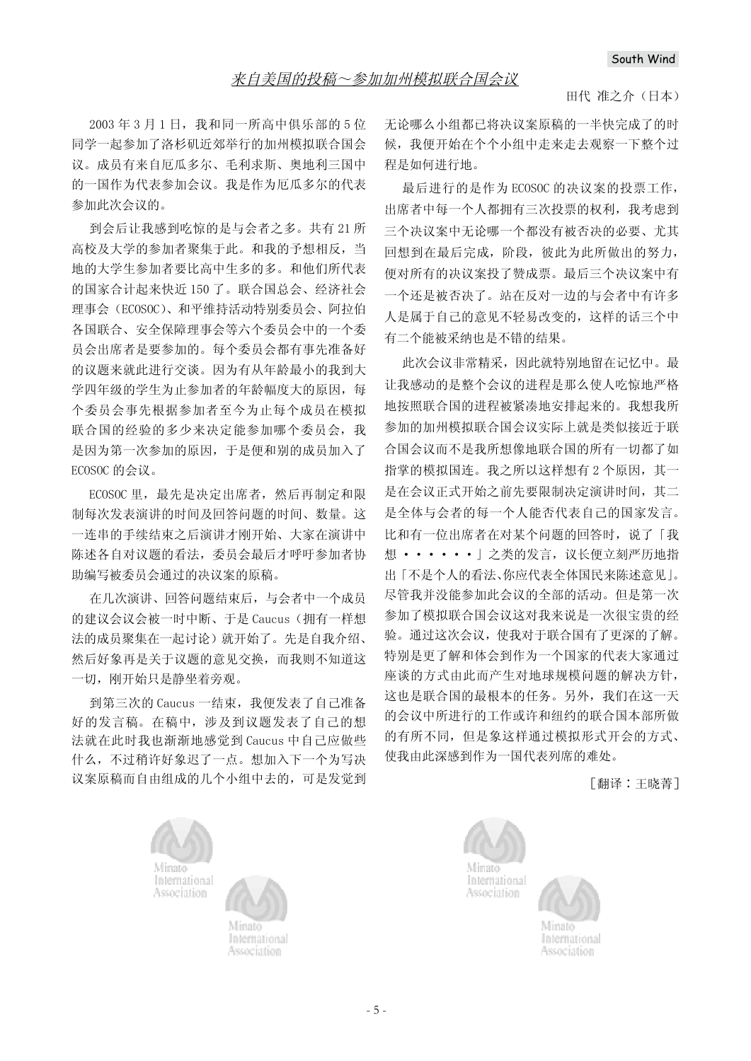#### 田代 准之介 (日本)

 $2003 \n 43 \n 711$  , 我和同一所高中俱乐部的 5 位 同学一起参加了洛杉矶近郊举行的加州模拟联合国会 议。成员有来自厄瓜多尔、毛利求斯、奥地利三国中 的一国作为代表参加会议。我是作为厄瓜多尔的代表 参加此次会议的。

到会后计我感到吃惊的是与会者之多。共有21所 高校及大学的参加者聚集于此。和我的予想相反, 当 地的大学生参加者要比高中生多的多。和他们所代表 的国家合计起来快近 150 了。联合国总会、经济社会 理事会(ECOSOC)、和平维持活动特别委员会、阿拉伯 各国联合、安全保障理事会等六个委员会中的一个委 员会出席者是要参加的。每个委员会都有事先准备好 的议题来就此进行交谈。因为有从年龄最小的我到大 学四年级的学生为止参加者的年龄幅度大的原因, 每 个委员会事先根据参加者至今为止每个成员在模拟 联合国的经验的多少来决定能参加哪个委员会, 我 是因为第一次参加的原因, 于是便和别的成员加入了 ECOSOC 的会议。

ECOSOC 里, 最先是决定出席者, 然后再制定和限 制每次发表演讲的时间及回答问题的时间、数量。这 一连串的手续结束之后演讲才刚开始、大家在演讲中 陈述各自对议题的看法, 委员会最后才呼吁参加者协 助编写被委员会通过的决议案的原稿。

在几次演讲、回答问题结束后, 与会者中一个成员 的建议会议会被一时中断、于是 Caucus (拥有一样想 法的成员聚集在一起讨论)就开始了。先是自我介绍、 然后好象再是关于议题的意见交换,而我则不知道这 一切, 刚开始只是静坐着旁观。

到第三次的 Caucus 一结束, 我便发表了自己准备 好的发言稿。在稿中, 涉及到议题发表了自己的想 法就在此时我也渐渐地感觉到 Caucus 中自己应做些 什么,不过稍许好象迟了一点。想加入下一个为写决 议案原稿而自由组成的几个小组中去的,可是发觉到 无论哪么小组都已将决议案原稿的一半快完成了的时 候, 我便开始在个个小组中走来走去观察一下整个过 程是如何进行地。

最后进行的是作为ECOSOC 的决议案的投票工作, 出席者中每一个人都拥有三次投票的权利, 我考虑到 三个决议案中无论哪一个都没有被否决的必要、尤其 回想到在最后完成,阶段,彼此为此所做出的努力, 便对所有的决议案投了赞成票。最后三个决议案中有 一个还是被否决了。站在反对一边的与会者中有许多 人是属于自己的意见不轻易改变的,这样的话三个中 有二个能被采纳也是不错的结果。

此次会议非常精采,因此就特别地留在记忆中。最 让我感动的是整个会议的进程是那么使人吃惊地严格 地按照联合国的进程被紧凑地安排起来的。我想我所 参加的加州模拟联合国会议实际上就是类似接近于联 合国会议而不是我所想像地联合国的所有一切都了如 指掌的模拟国连。我之所以这样想有2个原因, 其一 是在会议正式开始之前先要限制决定演讲时间, 其二 是全体与会者的每一个人能否代表自己的国家发言。 比和有一位出席者在对某个问题的回答时, 说了「我 想 ••••••] 之类的发言, 议长便立刻严历地指 出「不是个人的看法、你应代表全体国民来陈述意见」。 尽管我并没能参加此会议的全部的活动。但是第一次 参加了模拟联合国会议这对我来说是一次很宝贵的经 验。通过这次会议, 使我对于联合国有了更深的了解。 特别是更了解和体会到作为一个国家的代表大家通过 座谈的方式由此而产生对地球规模问题的解决方针, 这也是联合国的最根本的任务。另外,我们在这一天 的会议中所进行的工作或许和纽约的联合国本部所做 的有所不同, 但是象这样通过模拟形式开会的方式、 使我由此深感到作为一国代表列席的难处。

[翻译:王晓菁]





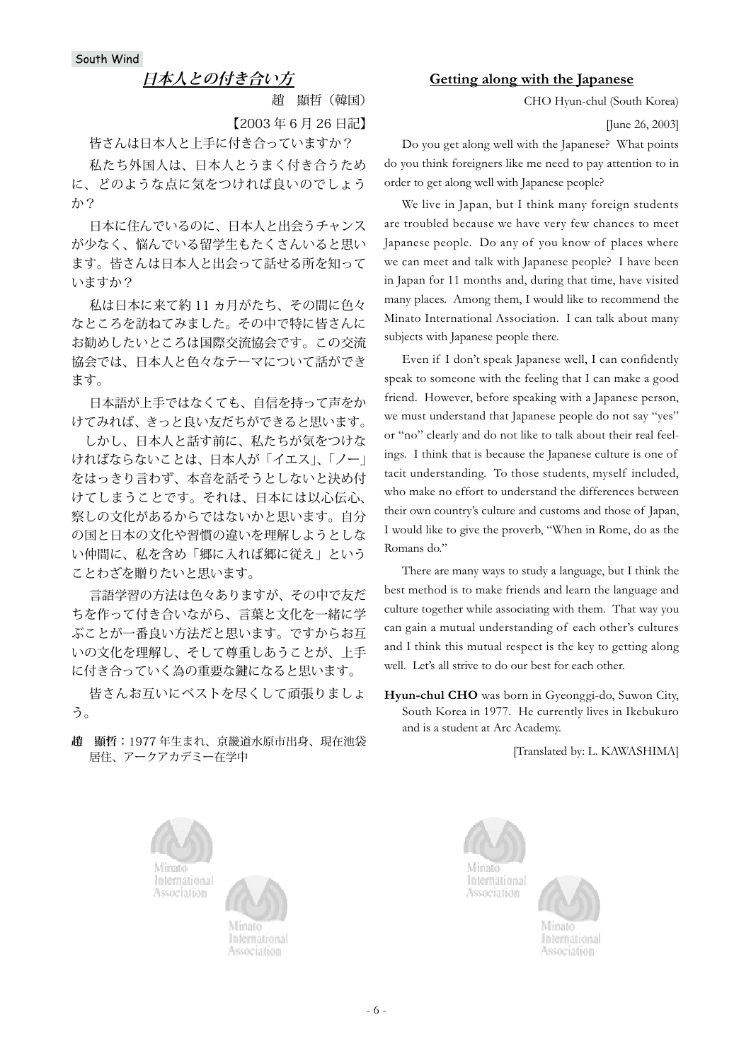### **日本人との付き合い方**

趙 顯哲(韓国)

【2003 年 6 月 26 日記】

皆さんは日本人と上手に付き合っていますか?

私たち外国人は、日本人とうまく付き合うため に、どのような点に気をつければ良いのでしょう か?

日本に住んでいるのに、日本人と出会うチャンス が少なく、悩んでいる留学生もたくさんいると思い ます。皆さんは日本人と出会って話せる所を知って いますか?

私は日本に来て約 11 ヵ月がたち、その間に色々 なところを訪ねてみました。その中で特に皆さんに お勧めしたいところは国際交流協会です。この交流 協会では、日本人と色々なテーマについて話ができ ます。

日本語が上手ではなくても、自信を持って声をか けてみれば、きっと良い友だちができると思います。

 しかし、日本人と話す前に、私たちが気をつけな ければならないことは、日本人が「イエス」、「ノー」 をはっきり言わず、本音を話そうとしないと決め付 けてしまうことです。それは、日本には以心伝心、 察しの文化があるからではないかと思います。自分 の国と日本の文化や習慣の違いを理解しようとしな い仲間に、私を含め「郷に入れば郷に従え」という ことわざを贈りたいと思います。

言語学習の方法は色々ありますが、その中で友だ ちを作って付き合いながら、言葉と文化を一緒に学 ぶことが一番良い方法だと思います。ですからお互 いの文化を理解し、そして尊重しあうことが、上手 に付き合っていく為の重要な鍵になると思います。

皆さんお互いにベストを尽くして頑張りましょ う。

**趙 顯哲:**1977 年生まれ、京畿道水原市出身、現在池袋 居住、アークアカデミー在学中

#### **Getting along with the Japanese**

CHO Hyun-chul (South Korea)

[June 26, 2003]

Do you get along well with the Japanese? What points do you think foreigners like me need to pay attention to in order to get along well with Japanese people?

We live in Japan, but I think many foreign students are troubled because we have very few chances to meet Japanese people. Do any of you know of places where we can meet and talk with Japanese people? I have been in Japan for 11 months and, during that time, have visited many places. Among them, I would like to recommend the Minato International Association. I can talk about many subjects with Japanese people there.

Even if I don't speak Japanese well, I can confidently speak to someone with the feeling that I can make a good friend. However, before speaking with a Japanese person, we must understand that Japanese people do not say "yes" or "no" clearly and do not like to talk about their real feelings. I think that is because the Japanese culture is one of tacit understanding. To those students, myself included, who make no effort to understand the differences between their own country's culture and customs and those of Japan, I would like to give the proverb, "When in Rome, do as the Romans do."

There are many ways to study a language, but I think the best method is to make friends and learn the language and culture together while associating with them. That way you can gain a mutual understanding of each other's cultures and I think this mutual respect is the key to getting along well. Let's all strive to do our best for each other.

**Hyun-chul CHO** was born in Gyeonggi-do, Suwon City, South Korea in 1977. He currently lives in Ikebukuro and is a student at Arc Academy.

[Translated by: L. KAWASHIMA]





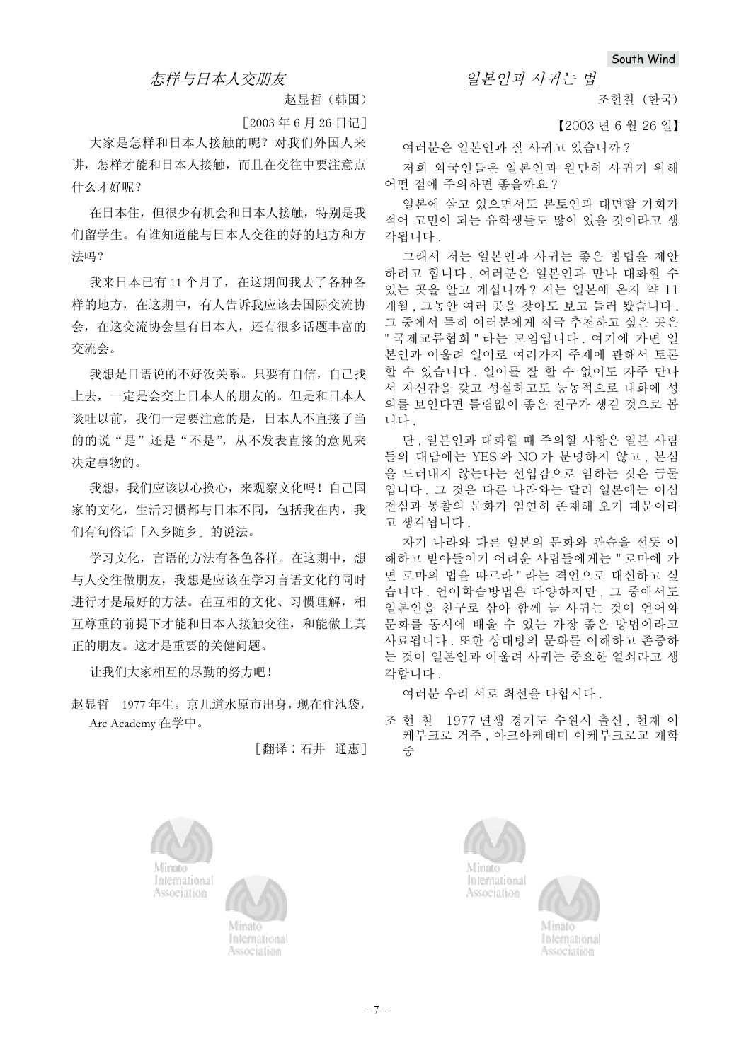### 怎样与日本人交朋友

赵显哲(韩国)

 $[2003 \ 46 \ 6 \ 126 \ 11]$ 

大家是怎样和日本人接触的呢? 对我们外国人来 讲, 怎样才能和日本人接触, 而且在交往中要注意点 什么才好呢?

在日本住, 但很少有机会和日本人接触, 特别是我 们留学生。有谁知道能与日本人交往的好的地方和方 法吗?

我来日本已有11个月了,在这期间我去了各种各 样的地方, 在这期中, 有人告诉我应该去国际交流协 会, 在这交流协会里有日本人, 还有很多话题丰富的 交流会。

我想是日语说的不好没关系。只要有自信,自己找 上夫, 一定是会交上日本人的朋友的。但是和日本人 谈吐以前, 我们一定要注意的是, 日本人不直接了当 的的说"是"还是"不是",从不发表直接的意见来 决定事物的。

我想, 我们应该以心换心, 来观察文化吗! 自己国 家的文化,生活习惯都与日本不同,包括我在内,我 们有句俗话「入乡随乡」的说法。

学习文化, 言语的方法有各色各样。在这期中, 想 与人交往做朋友, 我想是应该在学习言语文化的同时 进行才是最好的方法。在互相的文化、习惯理解,相 互尊重的前提下才能和日本人接触交往, 和能做上真 正的朋友。这才是重要的关健问题。

让我们大家相互的尽勤的努力吧!

赵显哲 1977 年生。京几道水原市出身, 现在住池袋, Arc Academy 在学中。

「翻译:石井 通惠]



International Association

의보이과 사귀는 번

조현철 (한국)

【2003 년 6 월 26 일】

여러분은 일본인과 잘 사귀고 있습니까? 저희 외국인들은 일본인과 원만히 사귀기 위해 어떤 점에 주의하면 좋을까요?

일본에 살고 있으면서도 본토인과 대면할 기회가 적어 고민이 되는 유학생들도 많이 있을 것이라고 생 각됩니다.

그래서 저는 일본인과 사귀는 좋은 방법을 제안 하려고 합니다. 여러부은 일본인과 만나 대화할 수 있는 곳을 알고 계십니까? 저는 일본에 온지 약 11 개월, 그동안 여러 곳을 찾아도 보고 들러 봤습니다. 그 중에서 특히 여러분에게 적극 추천하고 싶은 곳은 " 국제교류협회 " 라는 모임입니다 . 여기에 가면 일 본인과 어울려 일어로 여러가지 주제에 관해서 토론 할 수 있습니다. 일어를 잘 할 수 없어도 자주 만나 서 자신감을 갖고 성실하고도 능동적으로 대화에 성 의를 보인다면 틀림없이 좋은 친구가 생길 것으로 봅 니다.

단 . 일본인과 대화할 때 주의할 사항은 일본 사람 들의 대답에는 YES 와 NO 가 분명하지 않고, 본심 을 드러내지 않는다는 선입감으로 임하는 것은 금물 입니다. 그 것은 다른 나라와는 달리 일본에는 이심 저심과 통찰의 문화가 엄연히 존재해 오기 때문이라 고 생각됩니다.

자기 나라와 다른 일본의 문화와 관습을 선뜻 이 해하고 받아들이기 어려운 사람들에게는 " 로마에 가 면 로마의 법을 따르라 "라는 격언으로 대신하고 싶 습니다. 언어학습방법은 다양하지만, 그 중에서도 일본인을 친구로 삼아 함께 늘 사귀는 것이 언어와 문화를 동시에 배울 수 있는 가장 좋은 방법이라고 사료됩니다. 또한 상대방의 문화를 이해하고 존중하 는 것이 일본인과 어울려 사귀는 중요한 열쇠라고 생 각합니다.

여러분 우리 서로 최선을 다합시다.

조 현 철 1977 년생 경기도 수원시 출신, 현재 이 케부크로 거주, 아크아케데미 이케부크로교 재학 㭧



International Association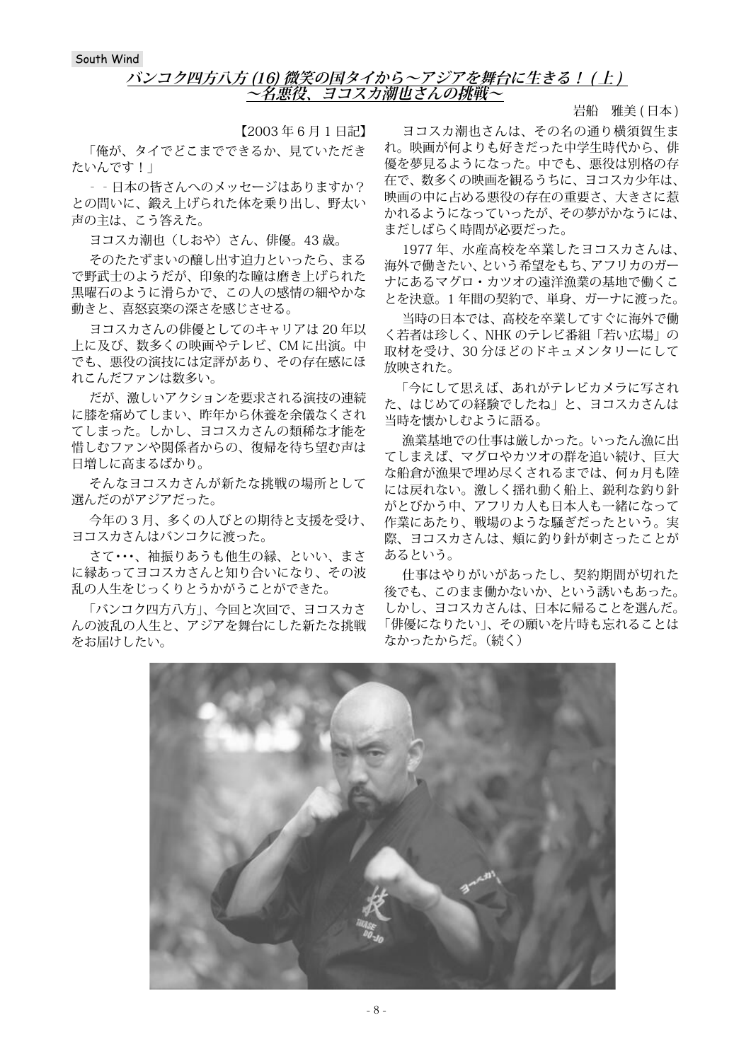#### **バンコク四方八方 (16) 微笑の国タイから~アジアを舞台に生きる! ( 上 ) ~名悪役、ヨコスカ潮也さんの挑戦~**

【2003 年 6 月 1 日記】

「俺が、タイでどこまでできるか、見ていただき たいんです!」

‐‐日本の皆さんへのメッセージはありますか? との問いに、鍛え上げられた体を乗り出し、野太い 声の主は、こう答えた。

ヨコスカ潮也(しおや)さん、俳優。43 歳。

そのたたずまいの醸し出す迫力といったら、まる で野武士のようだが、印象的な瞳は磨き上げられた 黒曜石のように滑らかで、この人の感情の細やかな 動きと、喜怒哀楽の深さを感じさせる。

ヨコスカさんの俳優としてのキャリアは 20 年以 上に及び、数多くの映画やテレビ、CM に出演。中 でも、悪役の演技には定評があり、その存在感にほ れこんだファンは数多い。

だが、激しいアクションを要求される演技の連続 に膝を痛めてしまい、昨年から休養を余儀なくされ てしまった。しかし、ヨコスカさんの類稀な才能を 惜しむファンや関係者からの、復帰を待ち望む声は 日増しに高まるばかり。

そんなヨコスカさんが新たな挑戦の場所として 選んだのがアジアだった。

今年の 3 月、多くの人びとの期待と支援を受け、 ヨコスカさんはバンコクに渡った。

さて・・・、袖振りあうも他生の縁、といい、まさ に縁あってヨコスカさんと知り合いになり、その波 乱の人生をじっくりとうかがうことができた。

「バンコク四方八方」、今回と次回で、ヨコスカさ んの波乱の人生と、アジアを舞台にした新たな挑戦 をお届けしたい。

岩船 雅美 (日本)

ヨコスカ潮也さんは、その名の通り横須賀生ま れ。映画が何よりも好きだった中学生時代から、俳 優を夢見るようになった。中でも、悪役は別格の存 在で、数多くの映画を観るうちに、ヨコスカ少年は、 映画の中に占める悪役の存在の重要さ、大きさに惹 かれるようになっていったが、その夢がかなうには、 まだしばらく時間が必要だった。

1977 年、水産高校を卒業したヨコスカさんは、 海外で働きたい、という希望をもち、アフリカのガー ナにあるマグロ・カツオの遠洋漁業の基地で働くこ とを決意。1 年間の契約で、単身、ガーナに渡った。

当時の日本では、高校を卒業してすぐに海外で働 く若者は珍しく、NHK のテレビ番組「若い広場」の 取材を受け、30 分ほどのドキュメンタリーにして 放映された。

「今にして思えば、あれがテレビカメラに写され た、はじめての経験でしたね」と、ヨコスカさんは 当時を懐かしむように語る。

漁業基地での仕事は厳しかった。いったん漁に出 てしまえば、マグロやカツオの群を追い続け、巨大 な船倉が漁果で埋め尽くされるまでは、何ヵ月も陸 には戻れない。激しく揺れ動く船上、鋭利な釣り針 がとびかう中、アフリカ人も日本人も一緒になって 作業にあたり、戦場のような騒ぎだったという。実 際、ヨコスカさんは、頬に釣り針が刺さったことが あるという。

仕事はやりがいがあったし、契約期間が切れた 後でも、このまま働かないか、という誘いもあった。 しかし、ヨコスカさんは、日本に帰ることを選んだ。 「俳優になりたい」、その願いを片時も忘れることは なかったからだ。(続く)

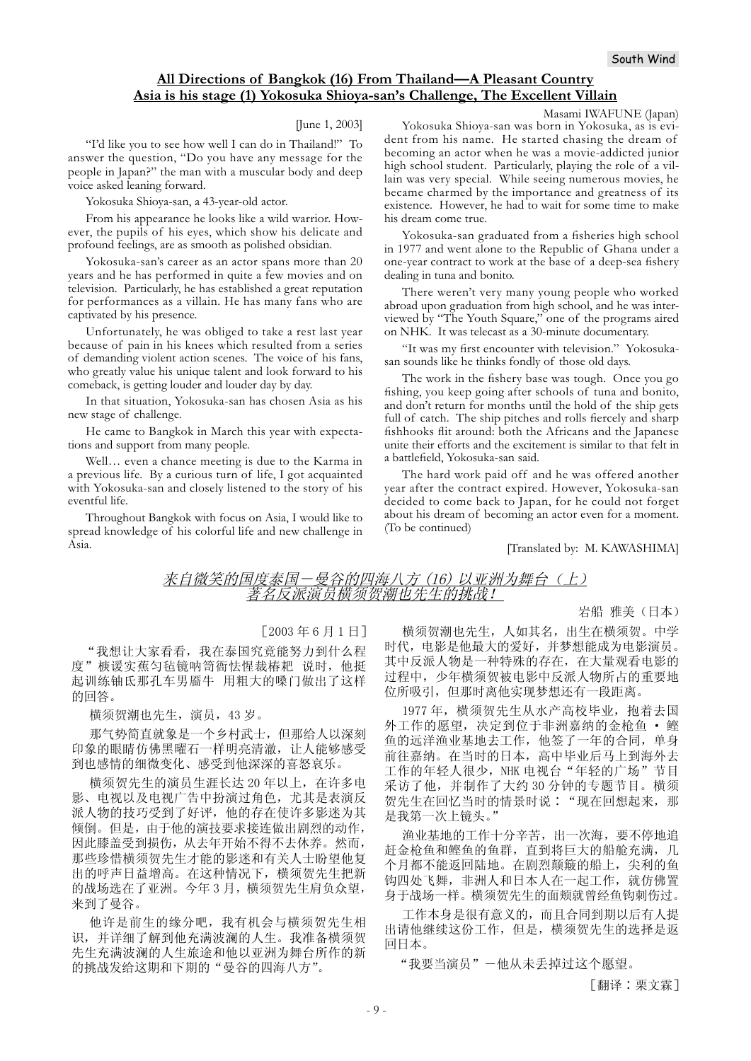#### **All Directions of Bangkok (16) From Thailand—A Pleasant Country Asia is his stage (1) Yokosuka Shioya-san's Challenge, The Excellent Villain**

#### [June 1, 2003]

"I'd like you to see how well I can do in Thailand!" To answer the question, "Do you have any message for the people in Japan?" the man with a muscular body and deep voice asked leaning forward.

Yokosuka Shioya-san, a 43-year-old actor.

From his appearance he looks like a wild warrior. However, the pupils of his eyes, which show his delicate and profound feelings, are as smooth as polished obsidian.

Yokosuka-san's career as an actor spans more than 20 years and he has performed in quite a few movies and on television. Particularly, he has established a great reputation for performances as a villain. He has many fans who are captivated by his presence.

Unfortunately, he was obliged to take a rest last year because of pain in his knees which resulted from a series of demanding violent action scenes. The voice of his fans, who greatly value his unique talent and look forward to his comeback, is getting louder and louder day by day.

In that situation, Yokosuka-san has chosen Asia as his new stage of challenge.

He came to Bangkok in March this year with expectations and support from many people.

Well… even a chance meeting is due to the Karma in a previous life. By a curious turn of life, I got acquainted with Yokosuka-san and closely listened to the story of his eventful life.

Throughout Bangkok with focus on Asia, I would like to spread knowledge of his colorful life and new challenge in Asia.

Masami IWAFUNE (Japan)

Yokosuka Shioya-san was born in Yokosuka, as is evident from his name. He started chasing the dream of becoming an actor when he was a movie-addicted junior high school student. Particularly, playing the role of a villain was very special. While seeing numerous movies, he became charmed by the importance and greatness of its existence. However, he had to wait for some time to make his dream come true.

Yokosuka-san graduated from a fisheries high school in 1977 and went alone to the Republic of Ghana under a one-year contract to work at the base of a deep-sea fishery dealing in tuna and bonito.

There weren't very many young people who worked abroad upon graduation from high school, and he was interviewed by "The Youth Square," one of the programs aired on NHK. It was telecast as a 30-minute documentary.

"It was my first encounter with television." Yokosukasan sounds like he thinks fondly of those old days.

The work in the fishery base was tough. Once you go fishing, you keep going after schools of tuna and bonito, and don't return for months until the hold of the ship gets full of catch. The ship pitches and rolls fiercely and sharp fishhooks flit around: both the Africans and the Japanese unite their efforts and the excitement is similar to that felt in a battlefield. Yokosuka-san said.

The hard work paid off and he was offered another year after the contract expired. However, Yokosuka-san decided to come back to Japan, for he could not forget about his dream of becoming an actor even for a moment. (To be continued)

[Translated by: M. KAWASHIMA]

#### 来自微笑的国度泰国一曼谷的四海八方 (16) 以亚洲为舞台 (上) 著名反派演员横须贺潮也先生的挑战!

#### 岩船 雅美 (日本)

#### $[2003 46 6 5 11]$

"我想让大家看看, 我在泰国究竟能努力到什么程 度" 椩谖实蕉匀毡镜呐笥衙怯惺裁椿耙 说时, 他挺 起训练铀氐那孔车男靥牛 用粗大的嗓门做出了这样 的回答。

横须贺潮也先生, 演员, 43岁。

那气势简直就象是一个乡村武士, 但那给人以深刻 印象的眼睛仿佛黑曜石一样明亮清澈, 让人能够感受 到也感情的细微变化、感受到他深深的喜怒哀乐。

横须贺先生的演员生涯长达 20 年以上, 在许多电 影、电视以及电视广告中扮演过角色, 尤其是表演反 派人物的技巧受到了好评, 他的存在使许多影迷为其 倾倒。但是,由于他的演技要求接连做出剧烈的动作, 因此膝盖受到损伤, 从去年开始不得不去休养。然而, 那些珍惜横须贺先生才能的影迷和有关人士盼望他复 出的呼声日益增高。在这种情况下,横须贺先生把新 的战场选在了亚洲。今年3月,横须贺先生肩负众望, 来到了曼谷。

他许是前生的缘分吧, 我有机会与横须贺先生相 识,并详细了解到他充满波澜的人生。我准备横须贺 先生充满波澜的人生旅途和他以亚洲为舞台所作的新 的挑战发给这期和下期的"曼谷的四海八方"。

横须贺潮也先生, 人如其名, 出生在横须贺。中学 时代, 电影是他最大的爱好, 并梦想能成为电影演员。 其中反派人物是一种特殊的存在, 在大量观看电影的 过程中, 少年横须贺被电影中反派人物所占的重要地 位所吸引,但那时离他实现梦想还有一段距离。

1977年, 横须贺先生从水产高校毕业, 抱着去国 外工作的愿望,决定到位于非洲嘉纳的金枪鱼 · 鲣 鱼的远洋渔业基地去工作, 他签了一年的合同, 单身 前往嘉纳。在当时的日本, 高中毕业后马上到海外去 工作的年轻人很少, NHK 电视台"年轻的广场"节目 采访了他,并制作了大约30分钟的专题节目。横须 贺先生在回忆当时的情景时说:"现在回想起来, 那 是我第一次上镜头。"

渔业基地的工作十分辛苦, 出一次海, 要不停地追 赶金枪鱼和鲣鱼的鱼群, 直到将巨大的船舱充满, 几 个月都不能返回陆地。在剧烈颠簸的船上, 尖利的鱼 钩四处飞舞, 非洲人和日本人在一起工作, 就仿佛置 身于战场一样。横须贺先生的面颊就曾经鱼钩刺伤过。

工作本身是很有意义的,而且合同到期以后有人提 出请他继续这份工作,但是,横须贺先生的选择是返 回日本。

"我要当演员"一他从未丢掉过这个愿望。

[翻译:栗文霖]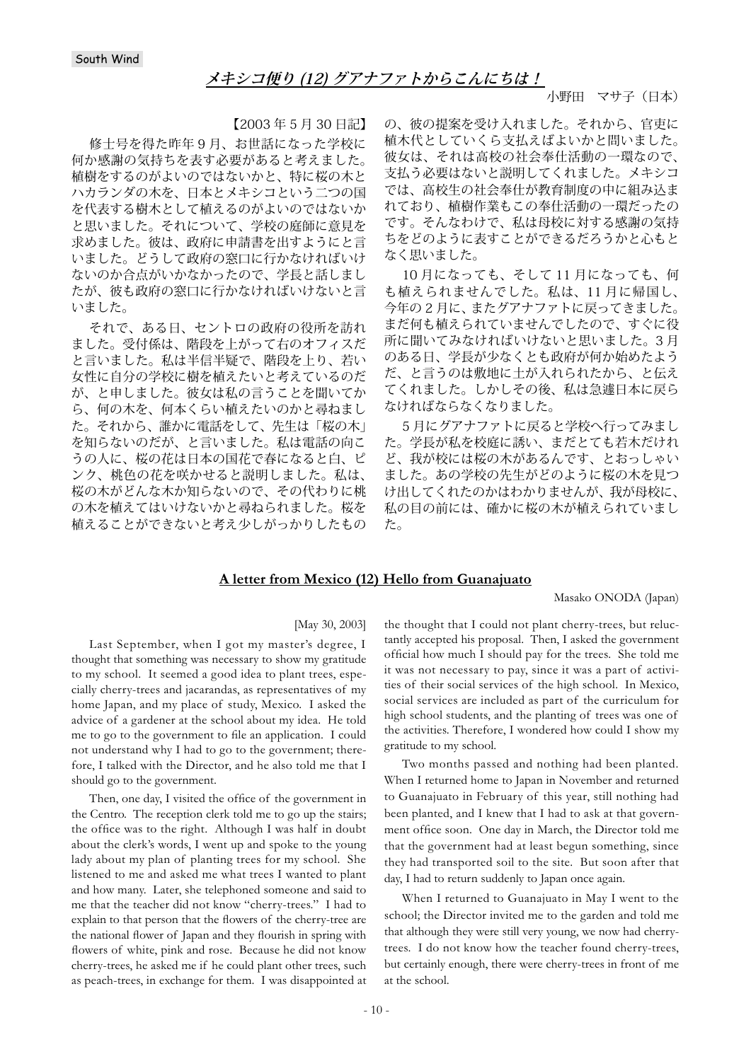### **メキシコ便り (12) グアナファトからこんにちは!**

小野田 マサ子(日本)

【2003 年 5 月 30 日記】

修士号を得た昨年 9 月、お世話になった学校に 何か感謝の気持ちを表す必要があると考えました。 植樹をするのがよいのではないかと、特に桜の木と ハカランダの木を、日本とメキシコという二つの国 を代表する樹木として植えるのがよいのではないか と思いました。それについて、学校の庭師に意見を 求めました。彼は、政府に申請書を出すようにと言 いました。どうして政府の窓口に行かなければいけ ないのか合点がいかなかったので、学長と話しまし たが、彼も政府の窓口に行かなければいけないと言 いました。

それで、ある日、セントロの政府の役所を訪れ ました。受付係は、階段を上がって右のオフィスだ と言いました。私は半信半疑で、階段を上り、若い 女性に自分の学校に樹を植えたいと考えているのだ が、と申しました。彼女は私の言うことを聞いてか ら、何の木を、何本くらい植えたいのかと尋ねまし た。それから、誰かに電話をして、先生は「桜の木」 を知らないのだが、と言いました。私は電話の向こ うの人に、桜の花は日本の国花で春になると白、ピ ンク、桃色の花を咲かせると説明しました。私は、 桜の木がどんな木か知らないので、その代わりに桃 の木を植えてはいけないかと尋ねられました。桜を 植えることができないと考え少しがっかりしたもの

の、彼の提案を受け入れました。それから、官吏に 植木代としていくら支払えばよいかと問いました。 彼女は、それは高校の社会奉仕活動の一環なので、 支払う必要はないと説明してくれました。メキシコ では、高校生の社会奉仕が教育制度の中に組み込ま れており、植樹作業もこの奉仕活動の一環だったの です。そんなわけで、私は母校に対する感謝の気持 ちをどのように表すことができるだろうかと心もと なく思いました。

10 月になっても、そして 11 月になっても、何 も植えられませんでした。私は、11 月に帰国し、 今年の 2 月に、またグアナファトに戻ってきました。 まだ何も植えられていませんでしたので、すぐに役 所に聞いてみなければいけないと思いました。3 月 のある日、学長が少なくとも政府が何か始めたよう だ、と言うのは敷地に土が入れられたから、と伝え てくれました。しかしその後、私は急遽日本に戻ら なければならなくなりました。

5 月にグアナファトに戻ると学校へ行ってみまし た。学長が私を校庭に誘い、まだとても若木だけれ ど、我が校には桜の木があるんです、とおっしゃい ました。あの学校の先生がどのように桜の木を見つ け出してくれたのかはわかりませんが、我が母校に、 私の目の前には、確かに桜の木が植えられていまし た。

#### **A letter from Mexico (12) Hello from Guanajuato**

Masako ONODA (Japan)

#### [May 30, 2003]

Last September, when I got my master's degree, I thought that something was necessary to show my gratitude to my school. It seemed a good idea to plant trees, especially cherry-trees and jacarandas, as representatives of my home Japan, and my place of study, Mexico. I asked the advice of a gardener at the school about my idea. He told me to go to the government to file an application. I could not understand why I had to go to the government; therefore, I talked with the Director, and he also told me that I should go to the government.

Then, one day, I visited the office of the government in the Centro. The reception clerk told me to go up the stairs; the office was to the right. Although I was half in doubt about the clerk's words, I went up and spoke to the young lady about my plan of planting trees for my school. She listened to me and asked me what trees I wanted to plant and how many. Later, she telephoned someone and said to me that the teacher did not know "cherry-trees." I had to explain to that person that the flowers of the cherry-tree are the national flower of Japan and they flourish in spring with flowers of white, pink and rose. Because he did not know cherry-trees, he asked me if he could plant other trees, such as peach-trees, in exchange for them. I was disappointed at

the thought that I could not plant cherry-trees, but reluctantly accepted his proposal. Then, I asked the government official how much I should pay for the trees. She told me it was not necessary to pay, since it was a part of activities of their social services of the high school. In Mexico, social services are included as part of the curriculum for high school students, and the planting of trees was one of the activities. Therefore, I wondered how could I show my gratitude to my school.

Two months passed and nothing had been planted. When I returned home to Japan in November and returned to Guanajuato in February of this year, still nothing had been planted, and I knew that I had to ask at that government office soon. One day in March, the Director told me that the government had at least begun something, since they had transported soil to the site. But soon after that day, I had to return suddenly to Japan once again.

When I returned to Guanajuato in May I went to the school; the Director invited me to the garden and told me that although they were still very young, we now had cherrytrees. I do not know how the teacher found cherry-trees, but certainly enough, there were cherry-trees in front of me at the school.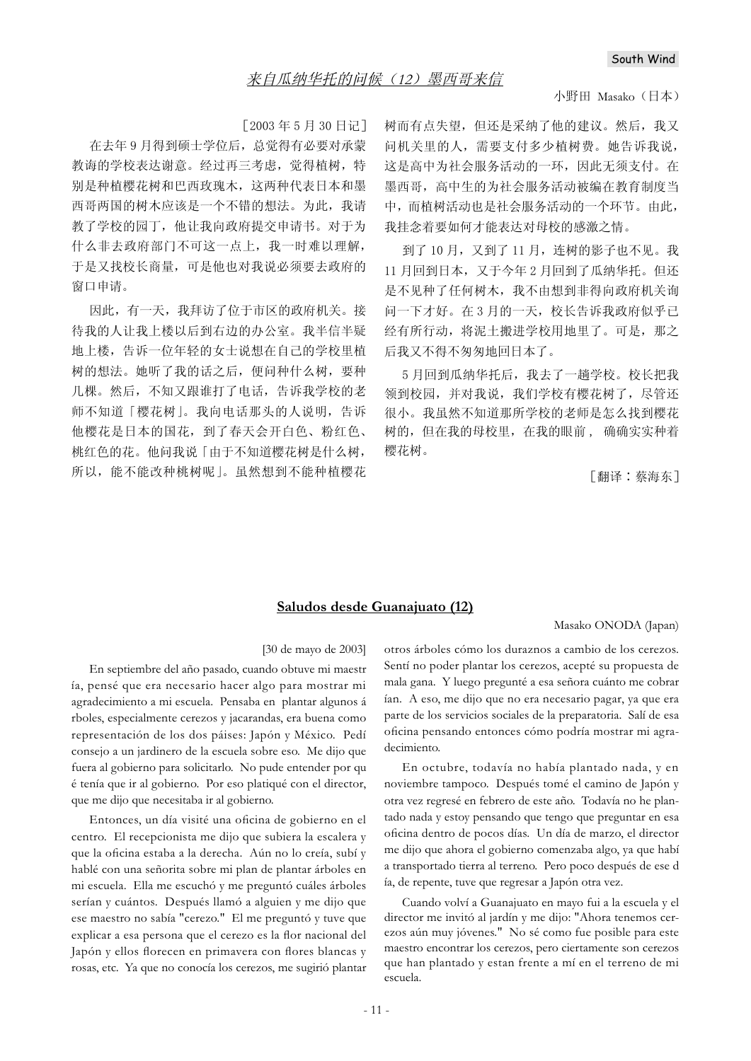#### 小野田 Masako (日本)

 $[2003 \, 455 \, 430 \, 611]$ 

在去年9月得到硕士学位后,总觉得有必要对承蒙 教诲的学校表达谢意。经过再三考虑, 觉得植树, 特 别是种植樱花树和巴西玫瑰木,这两种代表日本和墨 西哥两国的树木应该是一个不错的想法。为此,我请 教了学校的园丁, 他让我向政府提交申请书。对于为 什么非去政府部门不可这一点上, 我一时难以理解, 于是又找校长商量,可是他也对我说必须要去政府的 窗口申请。

因此, 有一天, 我拜访了位于市区的政府机关。接 待我的人让我上楼以后到右边的办公室。我半信半疑 地上楼, 告诉一位年轻的女士说想在自己的学校里植 树的想法。她听了我的话之后, 便问种什么树, 要种 几棵。然后, 不知又跟谁打了电话, 告诉我学校的老 师不知道「樱花树」。我向电话那头的人说明,告诉 他樱花是日本的国花,到了春天会开白色、粉红色、 桃红色的花。他问我说「由于不知道樱花树是什么树, 所以, 能不能改种桃树呢 |。虽然想到不能种植樱花 树而有点失望,但还是采纳了他的建议。然后,我又 问机关里的人,需要支付多少植树费。她告诉我说, 这是高中为社会服务活动的一环,因此无须支付。在 墨西哥, 高中生的为社会服务活动被编在教育制度当 中,而植树活动也是社会服务活动的一个环节。由此, 我挂念着要如何才能表达对母校的感激之情。

到了10月, 又到了11月, 连树的影子也不见。我 11 月回到日本, 又于今年2月回到了瓜纳华托。但还 是不见种了任何树木, 我不由想到非得向政府机关询 问一下才好。在3月的一天, 校长告诉我政府似乎已 经有所行动, 将泥土搬进学校用地里了。可是, 那之 后我又不得不匆匆地回日本了。

5月回到瓜纳华托后, 我去了一趟学校。校长把我 领到校园,并对我说,我们学校有樱花树了,尽管还 很小。我虽然不知道那所学校的老师是怎么找到樱花 树的,但在我的母校里,在我的眼前,确确实实种着 樱花树。

[翻译:蔡海东]

#### **Saludos desde Guanajuato (12)**

#### Masako ONODA (Japan)

#### [30 de mayo de 2003]

En septiembre del año pasado, cuando obtuve mi maestr ía, pensé que era necesario hacer algo para mostrar mi agradecimiento a mi escuela. Pensaba en plantar algunos á rboles, especialmente cerezos y jacarandas, era buena como representación de los dos páises: Japón y México. Pedí consejo a un jardinero de la escuela sobre eso. Me dijo que fuera al gobierno para solicitarlo. No pude entender por qu é tenía que ir al gobierno. Por eso platiqué con el director, que me dijo que necesitaba ir al gobierno.

Entonces, un día visité una oficina de gobierno en el centro. El recepcionista me dijo que subiera la escalera y que la oficina estaba a la derecha. Aún no lo creía, subí y hablé con una señorita sobre mi plan de plantar árboles en mi escuela. Ella me escuchó y me preguntó cuáles árboles serían y cuántos. Después llamó a alguien y me dijo que ese maestro no sabía "cerezo." El me preguntó y tuve que explicar a esa persona que el cerezo es la flor nacional del Japón y ellos florecen en primavera con flores blancas y rosas, etc. Ya que no conocía los cerezos, me sugirió plantar otros árboles cómo los duraznos a cambio de los cerezos. Sentí no poder plantar los cerezos, acepté su propuesta de mala gana. Y luego pregunté a esa señora cuánto me cobrar ían. A eso, me dijo que no era necesario pagar, ya que era parte de los servicios sociales de la preparatoria. Salí de esa oficina pensando entonces cómo podría mostrar mi agradecimiento.

En octubre, todavía no había plantado nada, y en noviembre tampoco. Después tomé el camino de Japón y otra vez regresé en febrero de este año. Todavía no he plantado nada y estoy pensando que tengo que preguntar en esa oficina dentro de pocos días. Un día de marzo, el director me dijo que ahora el gobierno comenzaba algo, ya que habí a transportado tierra al terreno. Pero poco después de ese d ía, de repente, tuve que regresar a Japón otra vez.

Cuando volví a Guanajuato en mayo fui a la escuela y el director me invitó al jardín y me dijo: "Ahora tenemos cerezos aún muy jóvenes." No sé como fue posible para este maestro encontrar los cerezos, pero ciertamente son cerezos que han plantado y estan frente a mí en el terreno de mi escuela.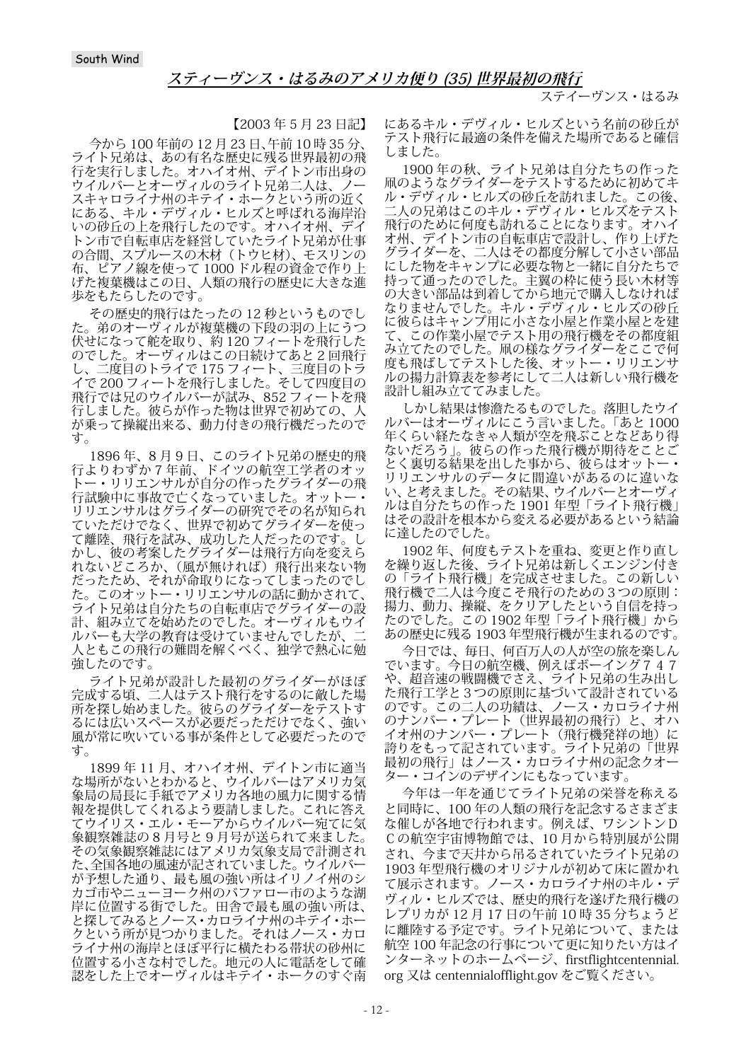ステイーヴンス・はるみ

【2003 年 5 月 23 日記】

今から 100 年前の 12 月 23 日、午前 10 時 35 分、 ライト兄弟は、あの有名な歴史に残る世界最初の飛 行を実行しました。オハイオ州、デイトン市出身の ウイルバーとオーヴィルのライト兄弟二人は、ノー スキャロライナ州のキテイ・ホークという所の近く にある、キル・デヴィル・ヒルズと呼ばれる海岸沿 いの砂丘の上を飛行したのです。オハイオ州、デイ トン市で自転車店を経営していたライト兄弟が仕事 の合間、スプルースの木材(トウヒ材)、モスリンの 布、ピアノ線を使って 1000 ドル程の資金で作り上 げた複葉機はこの日、人類の飛行の歴史に大きな進 歩をもたらしたのです。

その歴史的飛行はたったの 12 秒というものでし た。弟のオーヴィルが複葉機の下段の羽の上にうつ 伏せになって舵を取り、約 120 フィートを飛行した のでした。オーヴィルはこの日続けてあと 2 回飛行 し、二度目のトライで 175 フィート、三度目のトラ イで 200 フィートを飛行しました。そして四度目の 飛行では兄のウイルバーが試み、852 フィートを飛 行しました。彼らが作った物は世界で初めての、人 が乗って操縦出来る、動力付きの飛行機だったので す。

1896 年、8 月 9 日、このライト兄弟の歴史的飛 行よりわずか 7 年前、ドイツの航空工学者のオッ トー・リリエンサルが自分の作ったグライダーの飛 行試験中に事故で亡くなっていました。オットー・ リリエンサルはグライダーの研究でその名が知られ ていただけでなく、世界で初めてグライダーを使っ て離陸、飛行を試み、成功した人だったのです。し かし、彼の考案したグライダーは飛行方向を変えら れないどころか、(風が無ければ)飛行出来ない物 だったため、それが命取りになってしまったのでし た。このオットー・リリエンサルの話に動かされて、 ライト兄弟は自分たちの自転車店でグライダーの設 計、組み立てを始めたのでした。オーヴィルもウイ ルバーも大学の教育は受けていませんでしたが、二 人ともこの飛行の難問を解くべく、独学で熱心に勉 強したのです。

ライト兄弟が設計した最初のグライダーがほぼ 完成する頃、二人はテスト飛行をするのに敵した場 所を探し始めました。彼らのグライダーをテストす るには広いスペースが必要だっただけでなく、強い 風が常に吹いている事が条件として必要だったので す。

1899 年 11 月、オハイオ州、デイトン市に適当 な場所がないとわかると、ウイルバーはアメリカ気 象局の局長に手紙でアメリカ各地の風力に関する情 報を提供してくれるよう要請しました。これに答え てウイリス・エル・モーアからウイルバー宛てに気 象観察雑誌の 8 月号と 9 月号が送られて来ました。 その気象観察雑誌にはアメリカ気象支局で計測され た、全国各地の風速が記されていました。ウイルバー が予想した通り、最も風の強い所はイリノイ州のシ カゴ市やニューヨーク州のバファロー市のような湖 岸に位置する街でした。田舎で最も風の強い所は、 と探してみるとノース・カロライナ州のキテイ・ホー クという所が見つかりました。それはノース・カロ ライナ州の海岸とほぼ平行に横たわる帯状の砂州に 位置する小さな村でした。地元の人に電話をして確 認をした上でオーヴィルはキテイ・ホークのすぐ南 にあるキル・デヴィル・ヒルズという名前の砂丘が テスト飛行に最適の条件を備えた場所であると確信 しました。

1900 年の秋、ライト兄弟は自分たちの作った 凧のようなグライダーをテストするために初めてキ ル・デヴィル・ヒルズの砂丘を訪れました。この後、 二人の兄弟はこのキル・デヴィル・ヒルズをテスト 飛行のために何度も訪れることになります。オハイ オ州、デイトン市の自転車店で設計し、作り上げた グライダーを、二人はその都度分解して小さい部品 にした物をキャンプに必要な物と一緒に自分たちで 持って通ったのでした。主翼の枠に使う長い木材等 の大きい部品は到着してから地元で購入しなければ なりませんでした。キル・デヴィル・ヒルズの砂丘 に彼らはキャンプ用に小さな小屋と作業小屋とを建 て、この作業小屋でテスト用の飛行機をその都度組 み立てたのでした。凧の様なグライダーをここで何 度も飛ばしてテストした後、オットー・リリエンサ ルの揚力計算表を参考にして二人は新しい飛行機を 設計し組み立ててみました。

しかし結果は惨澹たるものでした。落胆したウイ ルバーはオーヴィルにこう言いました。「あと 1000 年くらい経たなきゃ人類が空を飛ぶことなどあり得 ないだろう」。彼らの作った飛行機が期待をことご とく裏切る結果を出した事から、彼らはオットー・ リリエンサルのデータに間違いがあるのに違いな い、と考えました。その結果、ウイルバーとオーヴィ ルは自分たちの作った 1901 年型「ライト飛行機」 はその設計を根本から変える必要があるという結論 に達したのでした。

1902 年、何度もテストを重ね、変更と作り直し を繰り返した後、ライト兄弟は新しくエンジン付き の「ライト飛行機」を完成させました。この新しい 飛行機で二人は今度こそ飛行のための3つの原則: 揚力、動力、操縦、をクリアしたという自信を持っ たのでした。この 1902 年型「ライト飛行機」から あの歴史に残る 1903 年型飛行機が生まれるのです。

今日では、毎日、何百万人の人が空の旅を楽しん でいます。今日の航空機、例えばボーイング747 や、超音速の戦闘機でさえ、ライト兄弟の生み出し た飛行工学と3つの原則に基づいて設計されている のです。この二人の功績は、ノース・カロライナ州 のナンバー・プレート(世界最初の飛行)と、オハ イオ州のナンバー・ブレート(飛行機発祥の地)に 誇りをもって記されています。ライト兄弟の「世界 最初の飛行」はノース・カロライナ州の記念クオー ター・コインのデザインにもなっています。

今年は一年を通じてライト兄弟の栄誉を称える と同時に、100 年の人類の飛行を記念するさまざま な催しが各地で行われます。例えば、ワシントンD Cの航空宇宙博物館では、10 月から特別展が公開 され、今まで天井から吊るされていたライト兄弟の 1903 年型飛行機のオリジナルが初めて床に置かれ て展示されます。ノース・カロライナ州のキル・デ ヴィル・ヒルズでは、歴史的飛行を遂げた飛行機の レプリカが 12 月 17 日の午前 10 時 35 分ちょうど に離陸する予定です。ライト兄弟について、または 航空 100 年記念の行事について更に知りたい方はイ ンターネットのホームページ、firstflightcentennial. org 又は centennialofflight.gov をご覧ください。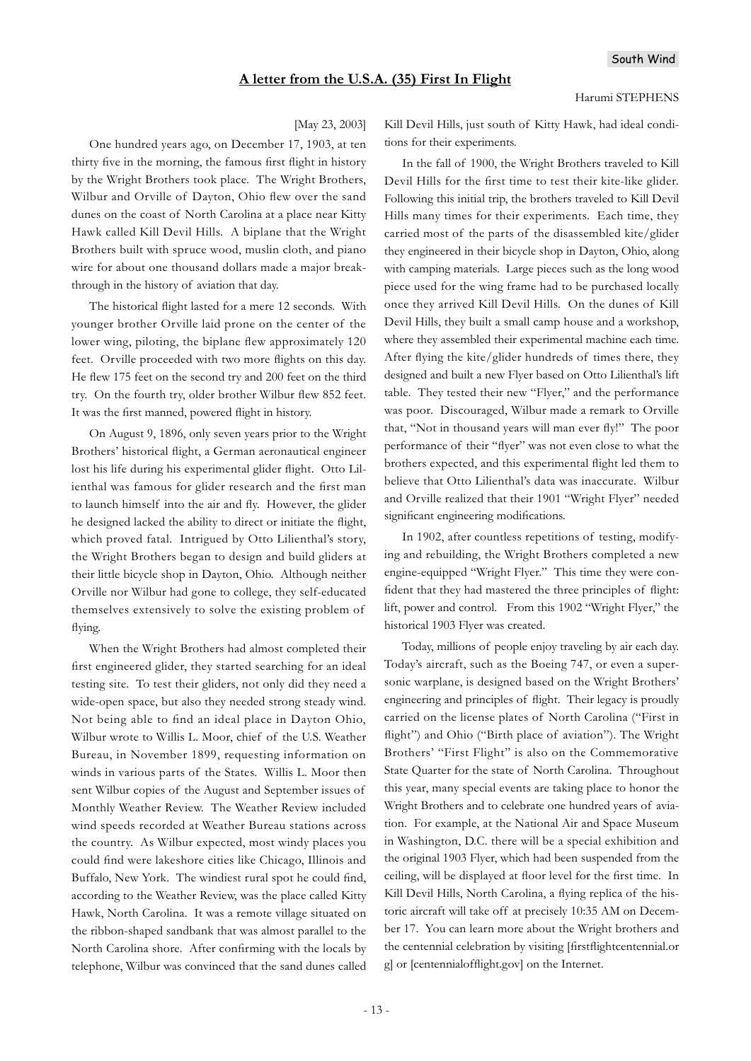#### **A letter from the U.S.A. (35) First In Flight**

#### Harumi STEPHENS

#### [May 23, 2003]

One hundred years ago, on December 17, 1903, at ten thirty five in the morning, the famous first flight in history by the Wright Brothers took place. The Wright Brothers, Wilbur and Orville of Dayton, Ohio flew over the sand dunes on the coast of North Carolina at a place near Kitty Hawk called Kill Devil Hills. A biplane that the Wright Brothers built with spruce wood, muslin cloth, and piano wire for about one thousand dollars made a major breakthrough in the history of aviation that day.

The historical flight lasted for a mere 12 seconds. With younger brother Orville laid prone on the center of the lower wing, piloting, the biplane flew approximately 120 feet. Orville proceeded with two more flights on this day. He flew 175 feet on the second try and 200 feet on the third try. On the fourth try, older brother Wilbur flew 852 feet. It was the first manned, powered flight in history.

On August 9, 1896, only seven years prior to the Wright Brothers' historical flight, a German aeronautical engineer lost his life during his experimental glider flight. Otto Lilienthal was famous for glider research and the first man to launch himself into the air and fly. However, the glider he designed lacked the ability to direct or initiate the flight, which proved fatal. Intrigued by Otto Lilienthal's story, the Wright Brothers began to design and build gliders at their little bicycle shop in Dayton, Ohio. Although neither Orville nor Wilbur had gone to college, they self-educated themselves extensively to solve the existing problem of flying.

When the Wright Brothers had almost completed their first engineered glider, they started searching for an ideal testing site. To test their gliders, not only did they need a wide-open space, but also they needed strong steady wind. Not being able to find an ideal place in Dayton Ohio, Wilbur wrote to Willis L. Moor, chief of the U.S. Weather Bureau, in November 1899, requesting information on winds in various parts of the States. Willis L. Moor then sent Wilbur copies of the August and September issues of Monthly Weather Review. The Weather Review included wind speeds recorded at Weather Bureau stations across the country. As Wilbur expected, most windy places you could find were lakeshore cities like Chicago, Illinois and Buffalo, New York. The windiest rural spot he could find, according to the Weather Review, was the place called Kitty Hawk, North Carolina. It was a remote village situated on the ribbon-shaped sandbank that was almost parallel to the North Carolina shore. After confirming with the locals by telephone, Wilbur was convinced that the sand dunes called Kill Devil Hills, just south of Kitty Hawk, had ideal conditions for their experiments.

In the fall of 1900, the Wright Brothers traveled to Kill Devil Hills for the first time to test their kite-like glider. Following this initial trip, the brothers traveled to Kill Devil Hills many times for their experiments. Each time, they carried most of the parts of the disassembled kite/glider they engineered in their bicycle shop in Dayton, Ohio, along with camping materials. Large pieces such as the long wood piece used for the wing frame had to be purchased locally once they arrived Kill Devil Hills. On the dunes of Kill Devil Hills, they built a small camp house and a workshop, where they assembled their experimental machine each time. After flying the kite/glider hundreds of times there, they designed and built a new Flyer based on Otto Lilienthal's lift table. They tested their new "Flyer," and the performance was poor. Discouraged, Wilbur made a remark to Orville that, "Not in thousand years will man ever fly!" The poor performance of their "flyer" was not even close to what the brothers expected, and this experimental flight led them to believe that Otto Lilienthal's data was inaccurate. Wilbur and Orville realized that their 1901 "Wright Flyer" needed significant engineering modifications.

In 1902, after countless repetitions of testing, modifying and rebuilding, the Wright Brothers completed a new engine-equipped "Wright Flyer." This time they were confident that they had mastered the three principles of flight: lift, power and control. From this 1902 "Wright Flyer," the historical 1903 Flyer was created.

Today, millions of people enjoy traveling by air each day. Today's aircraft, such as the Boeing 747, or even a supersonic warplane, is designed based on the Wright Brothers' engineering and principles of flight. Their legacy is proudly carried on the license plates of North Carolina ("First in flight") and Ohio ("Birth place of aviation"). The Wright Brothers' "First Flight" is also on the Commemorative State Quarter for the state of North Carolina. Throughout this year, many special events are taking place to honor the Wright Brothers and to celebrate one hundred years of aviation. For example, at the National Air and Space Museum in Washington, D.C. there will be a special exhibition and the original 1903 Flyer, which had been suspended from the ceiling, will be displayed at floor level for the first time. In Kill Devil Hills, North Carolina, a flying replica of the historic aircraft will take off at precisely 10:35 AM on December 17. You can learn more about the Wright brothers and the centennial celebration by visiting [firstflightcentennial.or g] or [centennialofflight.gov] on the Internet.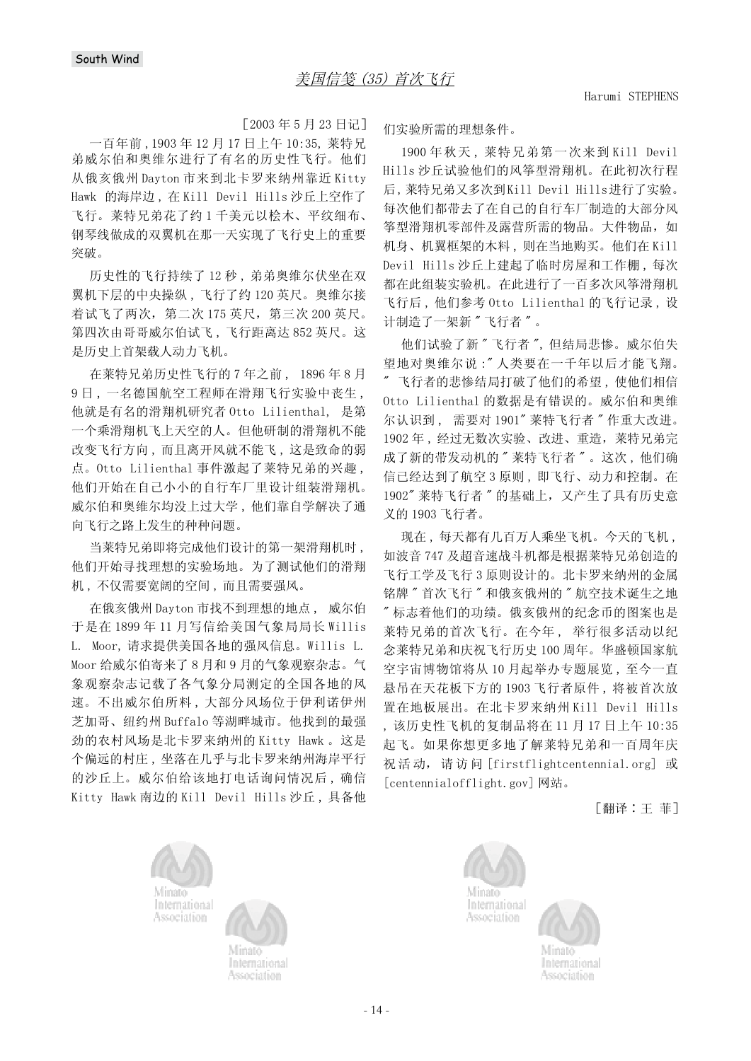$[2003 \, 455 \, 423 \, 617]$ 

一百年前, 1903年12月17日上午10:35, 莱特兄 弟威尔伯和奥维尔进行了有名的历史性飞行。他们 从俄亥俄州 Dayton 市来到北卡罗来纳州靠近 Kitty Hawk 的海岸边, 在 Kill Devil Hills 沙丘上空作了 飞行。莱特兄弟花了约1千美元以桧木、平纹细布、 钢琴线做成的双翼机在那一天实现了飞行史上的重要 突破。

历史性的飞行持续了12秒, 弟弟奥维尔伏坐在双 翼机下层的中央操纵,飞行了约120英尺。奥维尔接 着试飞了两次, 第二次 175 英尺, 第三次 200 英尺。 第四次由哥哥威尔伯试飞,飞行距离达852英尺。这 是历史上首架载人动力飞机。

在莱特兄弟历史性飞行的7年之前, 1896年8月 9日, 一名德国航空工程师在滑翔飞行实验中丧生, 他就是有名的滑翔机研究者 Otto Lilienthal, 是第 一个乘滑翔机飞上天空的人。但他研制的滑翔机不能 改变飞行方向, 而且离开风就不能飞, 这是致命的弱 点。Otto Lilienthal 事件激起了莱特兄弟的兴趣, 他们开始在自己小小的自行车厂里设计组装滑翔机。 威尔伯和奥维尔均没上过大学,他们靠自学解决了通 向飞行之路上发生的种种问题。

当莱特兄弟即将完成他们设计的第一架滑翔机时, 他们开始寻找理想的实验场地。为了测试他们的滑翔 机,不仅需要宽阔的空间,而且需要强风。

在俄亥俄州 Dayton 市找不到理想的地点, 威尔伯 于是在 1899年11月写信给美国气象局局长 Willis L. Moor, 请求提供美国各地的强风信息。Willis L. Moor 给威尔伯寄来了8月和9月的气象观察杂志。气 象观察杂志记载了各气象分局测定的全国各地的风 速。不出威尔伯所料,大部分风场位于伊利诺伊州 芝加哥、纽约州 Buffalo 等湖畔城市。他找到的最强 劲的农村风场是北卡罗来纳州的 Kitty Hawk 。这是 个偏远的村庄, 坐落在几乎与北卡罗来纳州海岸平行 的沙丘上。威尔伯给该地打电话询问情况后,确信 Kitty Hawk 南边的 Kill Devil Hills 沙丘, 具备他 们实验所需的理想条件。

1900年秋天, 莱特兄弟第一次来到 Kill Devil Hills 沙丘试验他们的风筝型滑翔机。在此初次行程 后, 莱特兄弟又多次到Kill Devil Hills进行了实验。 每次他们都带去了在自己的自行车厂制造的大部分风 筝型滑翔机零部件及露营所需的物品。大件物品,如 机身、机翼框架的木料,则在当地购买。他们在Kill Devil Hills 沙丘上建起了临时房屋和工作棚, 每次 都在此组装实验机。在此进行了一百多次风筝滑翔机 飞行后, 他们参考 Otto Lilienthal 的飞行记录, 设 计制造了一架新"飞行者"。

他们试验了新"飞行者", 但结局悲惨。威尔伯失 望地对奥维尔说: "人类要在一千年以后才能飞翔。 "飞行者的悲惨结局打破了他们的希望, 使他们相信 Otto Lilienthal 的数据是有错误的。威尔伯和奥维 尔认识到, 需要对 1901" 莱特飞行者 "作重大改进。 1902年, 经过无数次实验、改进、重造, 莱特兄弟完 成了新的带发动机的"莱特飞行者"。这次,他们确 信已经达到了航空 3 原则, 即飞行、动力和控制。在 1902" 莱特飞行者 " 的基础上, 又产生了具有历史意 义的 1903 飞行者。

现在,每天都有几百万人乘坐飞机。今天的飞机, 如波音 747 及超音速战斗机都是根据莱特兄弟创造的 飞行工学及飞行3原则设计的。北卡罗来纳州的金属 铭牌"首次飞行"和俄亥俄州的"航空技术诞生之地 "标志着他们的功绩。俄亥俄州的纪念币的图案也是 莱特兄弟的首次飞行。在今年, 举行很多活动以纪 念莱特兄弟和庆祝飞行历史100周年。华盛顿国家航 空宇宙博物馆将从10月起举办专题展览,至今一直 悬吊在天花板下方的1903 飞行者原件, 将被首次放 置在地板展出。在北卡罗来纳州 Kill Devil Hills , 该历史性飞机的复制品将在 11 月 17 日上午 10:35 起飞。如果你想更多地了解莱特兄弟和一百周年庆 祝活动, 请访问 [firstflightcentennial.org] 或 [centennialofflight.gov] 网站。

「翻译:王 菲]







International Association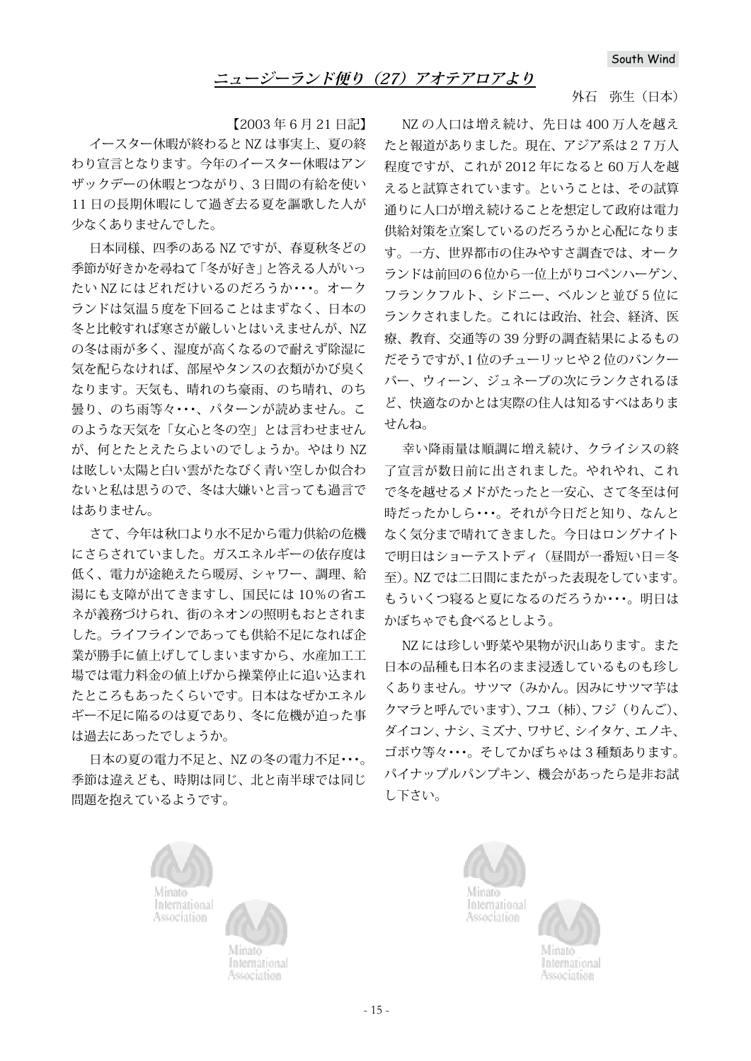#### 外石 弥生(日本)

【2003 年 6 月 21 日記】

イースター休暇が終わると NZ は事実上、夏の終 わり宣言となります。今年のイースター休暇はアン ザックデーの休暇とつながり、3 日間の有給を使い 11 日の長期休暇にして過ぎ去る夏を謳歌した人が 少なくありませんでした。

日本同様、四季のある NZ ですが、春夏秋冬どの 季節が好きかを尋ねて「冬が好き」と答える人がいっ たい NZ にはどれだけいるのだろうか・・・。オーク ランドは気温5度を下回ることはまずなく、日本の 冬と比較すれば寒さが厳しいとはいえませんが、NZ の冬は雨が多く、湿度が高くなるので耐えず除湿に 気を配らなければ、部屋やタンスの衣類がかび臭く なります。天気も、晴れのち豪雨、のち晴れ、のち 曇り、のち雨等々・・・、パターンが読めません。こ のような天気を「女心と冬の空」とは言わせません が、何とたとえたらよいのでしょうか。やはり NZ は眩しい太陽と白い雲がたなびく青い空しか似合わ ないと私は思うので、冬は大嫌いと言っても過言で はありません。

さて、今年は秋口より水不足から電力供給の危機 にさらされていました。ガスエネルギーの依存度は 低く、電力が途絶えたら暖房、シャワー、調理、給 湯にも支障が出てきますし、国民には 10%の省エ ネが義務づけられ、街のネオンの照明もおとされま した。ライフラインであっても供給不足になれば企 業が勝手に値上げしてしまいますから、水産加工工 場では雷力料金の値上げから操業停止に追い込まれ たところもあったくらいです。日本はなぜかエネル ギー不足に陥るのは夏であり、冬に危機が迫った事 は過去にあったでしょうか。

日本の夏の電力不足と、NZ の冬の電力不足・・・。 季節は違えども、時期は同じ、北と南半球では同じ 問題を抱えているようです。

NZ の人口は増え続け、先日は 400 万人を越え たと報道がありました。現在、アジア系は27万人 程度ですが、これが 2012 年になると 60 万人を越 えると試算されています。ということは、その試算 通りに人口が増え続けることを想定して政府は電力 供給対策を立案しているのだろうかと心配になりま す。一方、世界都市の住みやすさ調査では、オーク ランドは前回の6位から一位上がりコペンハーゲン、 フランクフルト、シドニー、ベルンと並び 5 位に ランクされました。これには政治、社会、経済、医 療、教育、交通等の 39 分野の調査結果によるもの だそうですが、1 位のチューリッヒや 2 位のバンクー バー、ウィーン、ジュネーブの次にランクされるほ ど、快適なのかとは実際の住人は知るすべはありま せんね。

幸い降雨量は順調に増え続け、クライシスの終 了宣言が数日前に出されました。やれやれ、これ で冬を越せるメドがたったと一安心、さて冬至は何 時だったかしら・・・。それが今日だと知り、なんと なく気分まで晴れてきました。今日はロングナイト で明日はショーテストディ(昼間が一番短い日=冬 至)。NZ では二日間にまたがった表現をしています。 もういくつ寝ると夏になるのだろうか・・・。明日は かぼちゃでも食べるとしよう。

NZ には珍しい野菜や果物が沢山あります。また 日本の品種も日本名のまま浸透しているものも珍し くありません。サツマ(みかん。因みにサツマ芋は クマラと呼んでいます)、フユ(柿)、フジ(りんご)、 ダイコン、ナシ、ミズナ、ワサビ、シイタケ、エノキ、 ゴボウ等々・・・。そしてかぼちゃは 3 種類あります。 パイナップルパンプキン、機会があったら是非お試 し下さい。







<sup>a</sup>ssociation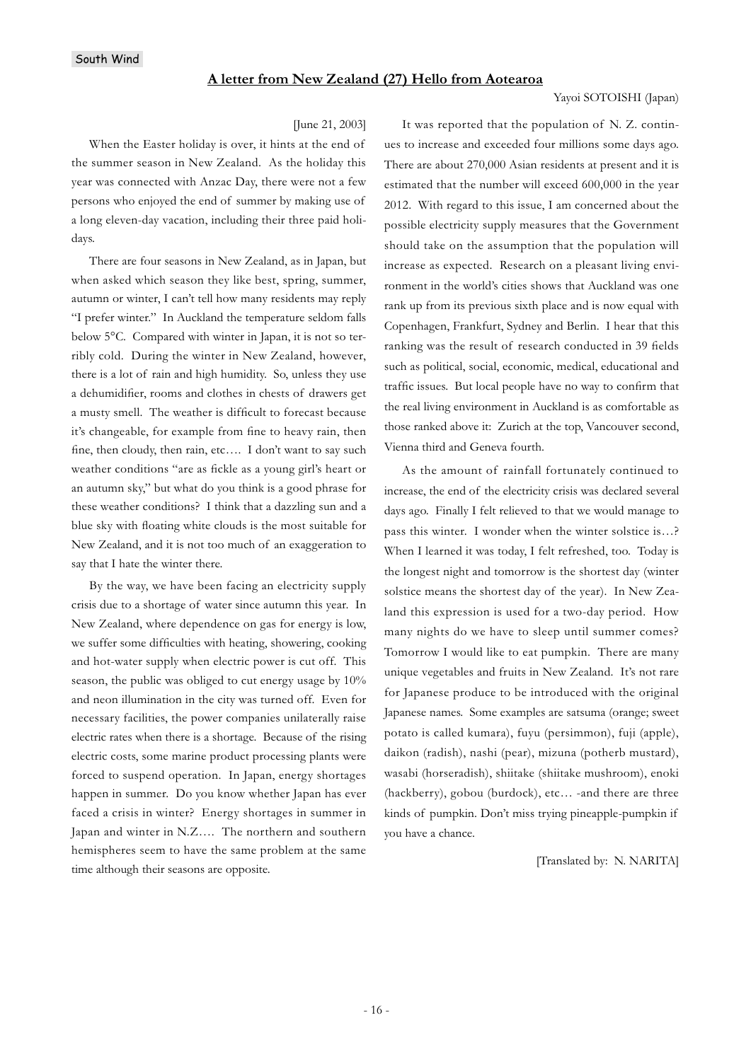#### **A letter from New Zealand (27) Hello from Aotearoa**

#### Yayoi SOTOISHI (Japan)

#### [June 21, 2003]

When the Easter holiday is over, it hints at the end of the summer season in New Zealand. As the holiday this year was connected with Anzac Day, there were not a few persons who enjoyed the end of summer by making use of a long eleven-day vacation, including their three paid holidays.

There are four seasons in New Zealand, as in Japan, but when asked which season they like best, spring, summer, autumn or winter, I can't tell how many residents may reply "I prefer winter." In Auckland the temperature seldom falls below 5°C. Compared with winter in Japan, it is not so terribly cold. During the winter in New Zealand, however, there is a lot of rain and high humidity. So, unless they use a dehumidifier, rooms and clothes in chests of drawers get a musty smell. The weather is difficult to forecast because it's changeable, for example from fine to heavy rain, then fine, then cloudy, then rain, etc.... I don't want to say such weather conditions "are as fickle as a young girl's heart or an autumn sky," but what do you think is a good phrase for these weather conditions? I think that a dazzling sun and a blue sky with floating white clouds is the most suitable for New Zealand, and it is not too much of an exaggeration to say that I hate the winter there.

By the way, we have been facing an electricity supply crisis due to a shortage of water since autumn this year. In New Zealand, where dependence on gas for energy is low, we suffer some difficulties with heating, showering, cooking and hot-water supply when electric power is cut off. This season, the public was obliged to cut energy usage by 10% and neon illumination in the city was turned off. Even for necessary facilities, the power companies unilaterally raise electric rates when there is a shortage. Because of the rising electric costs, some marine product processing plants were forced to suspend operation. In Japan, energy shortages happen in summer. Do you know whether Japan has ever faced a crisis in winter? Energy shortages in summer in Japan and winter in N.Z…. The northern and southern hemispheres seem to have the same problem at the same time although their seasons are opposite.

It was reported that the population of N. Z. continues to increase and exceeded four millions some days ago. There are about 270,000 Asian residents at present and it is estimated that the number will exceed 600,000 in the year 2012. With regard to this issue, I am concerned about the possible electricity supply measures that the Government should take on the assumption that the population will increase as expected. Research on a pleasant living environment in the world's cities shows that Auckland was one rank up from its previous sixth place and is now equal with Copenhagen, Frankfurt, Sydney and Berlin. I hear that this ranking was the result of research conducted in 39 fields such as political, social, economic, medical, educational and traffic issues. But local people have no way to confirm that the real living environment in Auckland is as comfortable as those ranked above it: Zurich at the top, Vancouver second, Vienna third and Geneva fourth.

As the amount of rainfall fortunately continued to increase, the end of the electricity crisis was declared several days ago. Finally I felt relieved to that we would manage to pass this winter. I wonder when the winter solstice is…? When I learned it was today, I felt refreshed, too. Today is the longest night and tomorrow is the shortest day (winter solstice means the shortest day of the year). In New Zealand this expression is used for a two-day period. How many nights do we have to sleep until summer comes? Tomorrow I would like to eat pumpkin. There are many unique vegetables and fruits in New Zealand. It's not rare for Japanese produce to be introduced with the original Japanese names. Some examples are satsuma (orange; sweet potato is called kumara), fuyu (persimmon), fuji (apple), daikon (radish), nashi (pear), mizuna (potherb mustard), wasabi (horseradish), shiitake (shiitake mushroom), enoki (hackberry), gobou (burdock), etc… -and there are three kinds of pumpkin. Don't miss trying pineapple-pumpkin if you have a chance.

[Translated by: N. NARITA]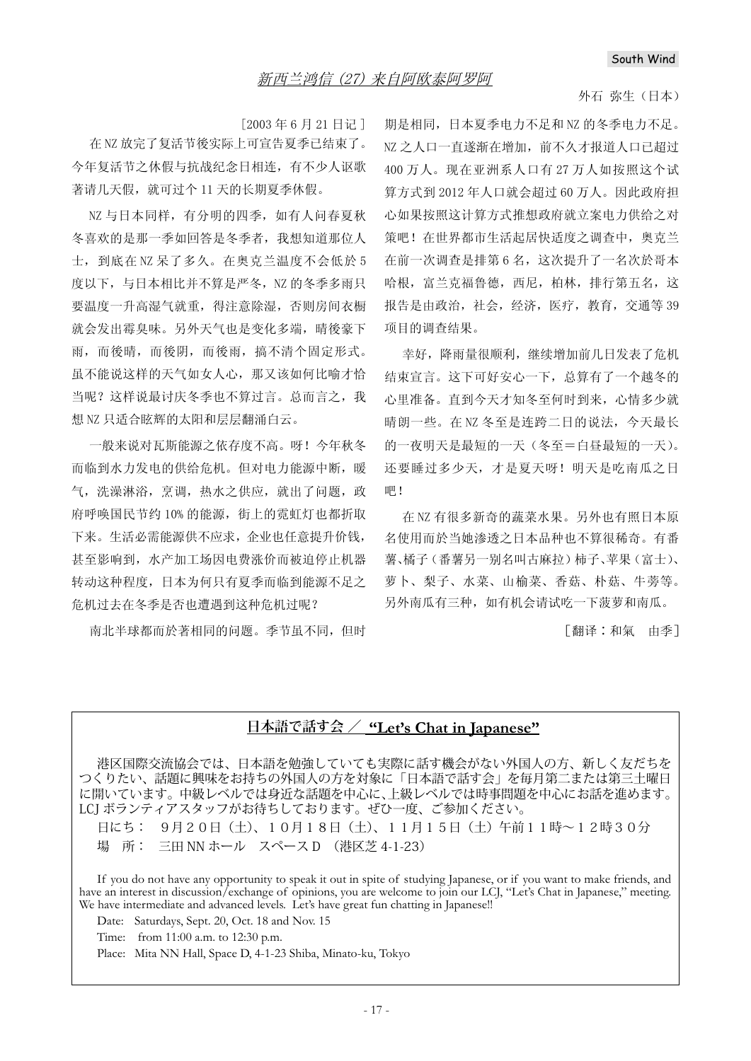#### 外石 弥生(日本)

[2003年6月21日记]

在 NZ 放完了复活节後实际上可宣告夏季已结束了。 今年复活节之休假与抗战纪念日相连, 有不少人讴歌 著请几天假, 就可过个11天的长期夏季休假。

NZ 与日本同样, 有分明的四季, 如有人问春夏秋 冬喜欢的是那一季如回答是冬季者, 我想知道那位人 士, 到底在 NZ 呆了多久。在奥克兰温度不会低於 5 度以下,与日本相比并不算是严冬, NZ 的冬季多雨只 要温度一升高湿气就重, 得注意除湿, 否则房间衣橱 就会发出霉臭味。另外天气也是变化多端, 晴後豪下 雨,而後晴,而後阴,而後雨,搞不清个固定形式。 虽不能说这样的天气如女人心, 那又该如何比喻才恰 当呢? 这样说最讨庆冬季也不算讨言。总而言之, 我 想 NZ 只适合眩辉的太阳和层层翻涌白云。

一般来说对瓦斯能源之依存度不高。呀!今年秋冬 而临到水力发电的供给危机。但对电力能源中断, 暖 气, 洗澡淋浴, 烹调, 热水之供应, 就出了问题, 政 府呼唤国民节约10%的能源, 街上的霓虹灯也都折取 下来。生活必需能源供不应求,企业也任意提升价钱, 甚至影响到, 水产加工场因电费涨价而被迫停止机器 转动这种程度, 日本为何只有夏季而临到能源不足之 危机过去在冬季是否也遭遇到这种危机过呢?

南北半球都而於著相同的问题。季节虽不同,但时

期是相同, 日本夏季电力不足和 NZ 的冬季电力不足。 NZ 之人口一直遂渐在增加, 前不久才报道人口已超过 400 万人。现在亚洲系人口有27 万人如按照这个试 算方式到 2012年人口就会超过 60 万人。因此政府担 心如果按照这计算方式推想政府就立案电力供给之对 策吧! 在世界都市生活起居快适度之调查中, 奥克兰 在前一次调查是排第6名, 这次提升了一名次於哥本 哈根, 富兰克福鲁德, 西尼, 柏林, 排行第五名, 这 报告是由政治, 社会, 经济, 医疗, 教育, 交通等39 项目的调查结果。

幸好, 降雨量很顺利, 继续增加前几日发表了危机 结束宣言。这下可好安心一下, 总算有了一个越冬的 心里准备。直到今天才知冬至何时到来, 心情多少就 晴朗一些。在NZ冬至是连跨二日的说法,今天最长 的一夜明天是最短的一天(冬至=白昼最短的一天)。 还要睡过多少天,才是夏天呀!明天是吃南瓜之日 吧!

在 NZ 有很多新奇的蔬菜水果。另外也有照日本原 名使用而於当她渗透之日本品种也不算很稀奇。有番 薯、橘子 (番薯另一别名叫古麻拉)柿子、苹果 (富士)、 萝卜、梨子、水菜、山榆菜、香菇、朴菇、牛蒡等。 另外南瓜有三种, 如有机会请试吃一下菠萝和南瓜。

「翻译:和氣 由季]

## **日本語で話す会 / "Let's Chat in Japanese"**

港区国際交流協会では、日本語を勉強していても実際に話す機会がない外国人の方、新しく友だちを つくりたい、話題に興味をお持ちの外国人の方を対象に「日本語で話す会」を毎月第二または第三土曜日 に開いています。中級レベルでは身近な話題を中心に、上級レベルでは時事問題を中心にお話を進めます。 LCJ ボランティアスタッフがお待ちしております。ぜひ一度、ご参加ください。

日にち: 9月20日(土)、10月18日(土)、11月15日(土)午前11時~12時30分 場 所: 三田 NN ホール スペース D (港区芝 4-1-23)

If you do not have any opportunity to speak it out in spite of studying Japanese, or if you want to make friends, and have an interest in discussion/exchange of opinions, you are welcome to join our LCJ, "Let's Chat in Japanese," meeting. We have intermediate and advanced levels. Let's have great fun chatting in Japanese!!

Date: Saturdays, Sept. 20, Oct. 18 and Nov. 15

Time: from 11:00 a.m. to 12:30 p.m.

Place: Mita NN Hall, Space D, 4-1-23 Shiba, Minato-ku, Tokyo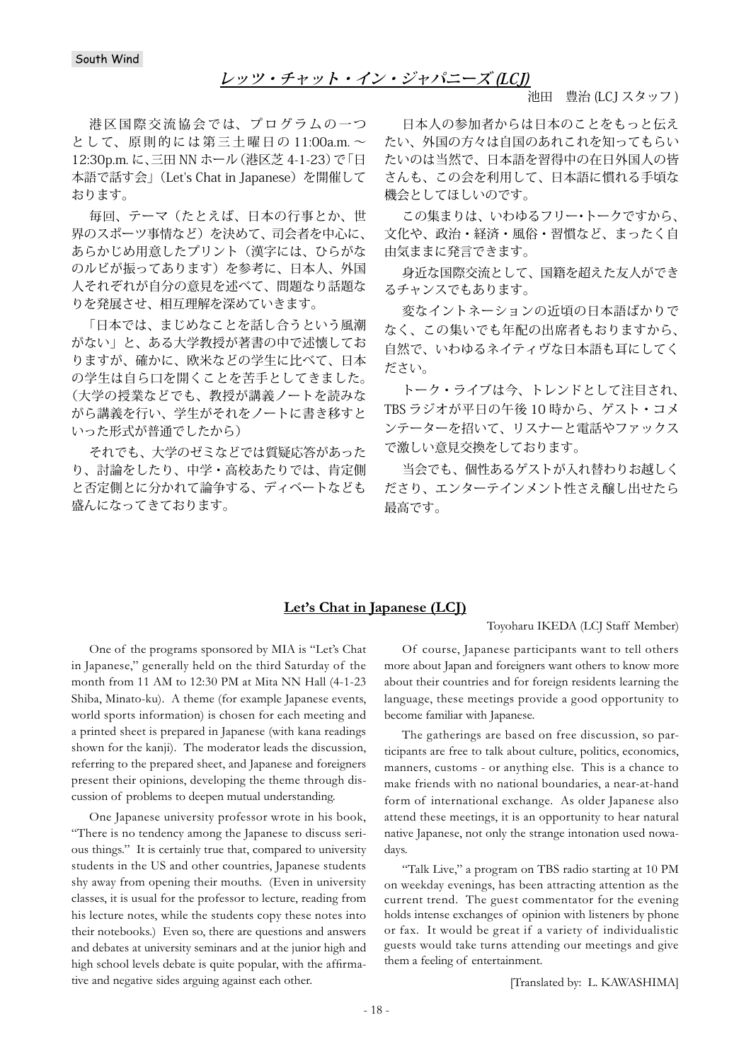### **レッツ・チャット・イン・ジャパニーズ (LCJ)**

池田 豊治 (LCJ スタッフ)

港区国際交流協会では、プログラムの一つ として、原則的には第三土曜日の 11:00a.m. ~ 12:30p.m. に、三田 NN ホール(港区芝 4-1-23)で「日 本語で話す会」(Let's Chat in Japanese)を開催して おります。

毎回、テーマ(たとえば、日本の行事とか、世 界のスポーツ事情など)を決めて、司会者を中心に、 あらかじめ用意したプリント(漢字には、ひらがな のルビが振ってあります)を参考に、日本人、外国 人それぞれが自分の意見を述べて、問題なり話題な りを発展させ、相互理解を深めていきます。

「日本では、まじめなことを話し合うという風潮 がない」と、ある大学教授が著書の中で述懐してお りますが、確かに、欧米などの学生に比べて、日本 の学生は自ら口を開くことを苦手としてきました。 (大学の授業などでも、教授が講義ノートを読みな がら講義を行い、学生がそれをノートに書き移すと いった形式が普通でしたから)

それでも、大学のゼミなどでは質疑応答があった り、討論をしたり、中学・高校あたりでは、肯定側 と否定側とに分かれて論争する、ディベートなども 盛んになってきております。

日本人の参加者からは日本のことをもっと伝え たい、外国の方々は自国のあれこれを知ってもらい たいのは当然で、日本語を習得中の在日外国人の皆 さんも、この会を利用して、日本語に慣れる手頃な 機会としてほしいのです。

この集まりは、いわゆるフリー・トークですから、 文化や、政治・経済・風俗・習慣など、まったく自 由気ままに発言できます。

身近な国際交流として、国籍を超えた友人ができ るチャンスでもあります。

変なイントネーションの近頃の日本語ばかりで なく、この集いでも年配の出席者もおりますから、 自然で、いわゆるネイティヴな日本語も耳にしてく ださい。

トーク・ライブは今、トレンドとして注目され、 TBS ラジオが平日の午後 10 時から、ゲスト・コメ ンテーターを招いて、リスナーと電話やファックス で激しい意見交換をしております。

当会でも、個性あるゲストが入れ替わりお越しく ださり、エンターテインメント性さえ醸し出せたら 最高です。

#### **Let's Chat in Japanese (LCJ)**

Toyoharu IKEDA (LCJ Staff Member)

One of the programs sponsored by MIA is "Let's Chat in Japanese," generally held on the third Saturday of the month from 11 AM to 12:30 PM at Mita NN Hall (4-1-23 Shiba, Minato-ku). A theme (for example Japanese events, world sports information) is chosen for each meeting and a printed sheet is prepared in Japanese (with kana readings shown for the kanji). The moderator leads the discussion, referring to the prepared sheet, and Japanese and foreigners present their opinions, developing the theme through discussion of problems to deepen mutual understanding.

One Japanese university professor wrote in his book, "There is no tendency among the Japanese to discuss serious things." It is certainly true that, compared to university students in the US and other countries, Japanese students shy away from opening their mouths. (Even in university classes, it is usual for the professor to lecture, reading from his lecture notes, while the students copy these notes into their notebooks.) Even so, there are questions and answers and debates at university seminars and at the junior high and high school levels debate is quite popular, with the affirmative and negative sides arguing against each other.

Of course, Japanese participants want to tell others more about Japan and foreigners want others to know more about their countries and for foreign residents learning the language, these meetings provide a good opportunity to become familiar with Japanese.

The gatherings are based on free discussion, so participants are free to talk about culture, politics, economics, manners, customs - or anything else. This is a chance to make friends with no national boundaries, a near-at-hand form of international exchange. As older Japanese also attend these meetings, it is an opportunity to hear natural native Japanese, not only the strange intonation used nowadays.

"Talk Live," a program on TBS radio starting at 10 PM on weekday evenings, has been attracting attention as the current trend. The guest commentator for the evening holds intense exchanges of opinion with listeners by phone or fax. It would be great if a variety of individualistic guests would take turns attending our meetings and give them a feeling of entertainment.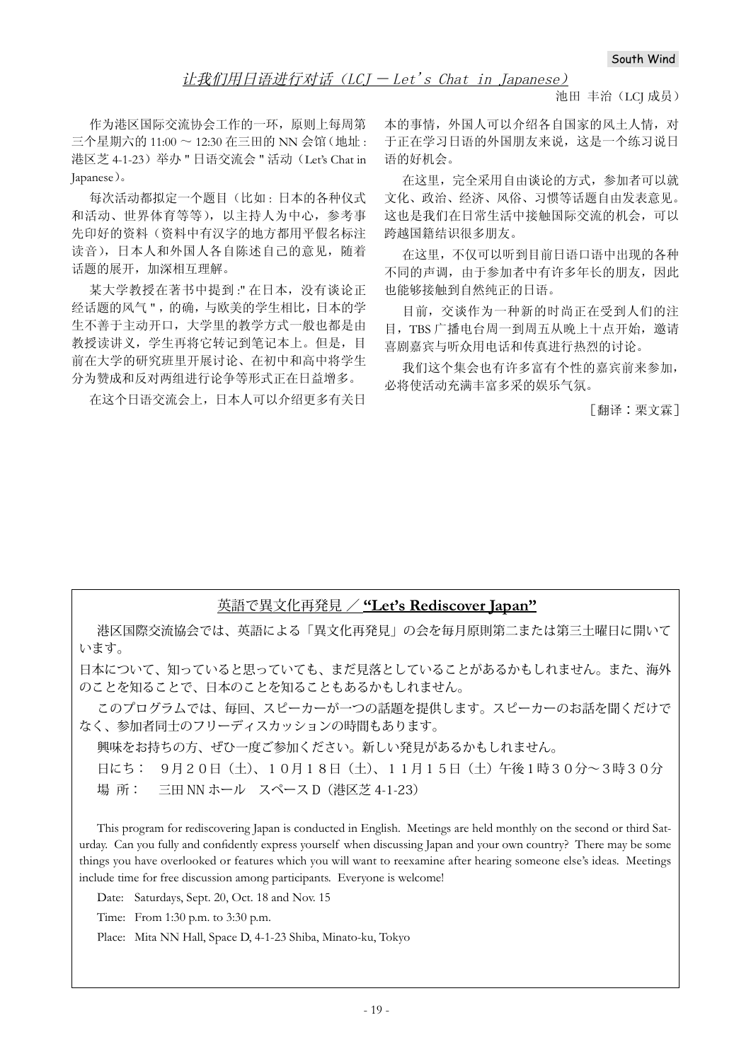### 让我们用日语进行对话 (LCJ – Let's Chat in Japanese)

池田 丰治(LCJ 成员)

作为港区国际交流协会工作的一环, 原则上每周第  $\equiv$  个星期六的 11:00  $\sim$  12:30 在三田的 NN 会馆 (地址: 港区芝 4-1-23) 举办 " 日语交流会 " 活动 (Let's Chat in Japanese).

每次活动都拟定一个题目(比如:日本的各种仪式 和活动、世界体育等等), 以主持人为中心, 参考事 先印好的资料(资料中有汉字的地方都用平假名标注 读音), 日本人和外国人各自陈述自己的意见, 随着 话题的展开, 加深相互理解。

某大学教授在著书中提到:"在日本, 没有谈论正 经话题的风气",的确,与欧美的学生相比,日本的学 生不善于主动开口,大学里的教学方式一般也都是由 教授读讲义,学生再将它转记到笔记本上。但是,目 前在大学的研究班里开展讨论、在初中和高中将学生 分为赞成和反对两组进行论争等形式正在日益增多。

在这个日语交流会上, 日本人可以介绍更多有关日

本的事情, 外国人可以介绍各自国家的风十人情, 对 于正在学习日语的外国朋友来说, 这是一个练习说日 语的好机会。

在这里,完全采用自由谈论的方式,参加者可以就 文化、政治、经济、风俗、习惯等话题自由发表意见。 这也是我们在日常生活中接触国际交流的机会, 可以 跨越国籍结识很多朋友。

在这里,不仅可以听到目前日语口语中出现的各种 不同的声调, 由于参加者中有许多年长的朋友, 因此 也能够接触到自然纯正的日语。

目前, 交谈作为一种新的时尚正在受到人们的注 目, TBS 广播电台周一到周五从晚上十点开始, 激请 喜剧嘉宾与听众用电话和传真讲行热烈的讨论。

我们这个集会也有许多富有个性的嘉宾前来参加, 必将使活动充满丰富多采的娱乐气氛。

「翻译:栗文霖ヿ

### 英語で異文化再発見 / **"Let's Rediscover Japan"**

港区国際交流協会では、英語による「異文化再発見」の会を毎月原則第二または第三土曜日に開いて います。

日本について、知っていると思っていても、まだ見落としていることがあるかもしれません。また、海外 のことを知ることで、日本のことを知ることもあるかもしれません。

このプログラムでは、毎回、スピーカーが一つの話題を提供します。スピーカーのお話を聞くだけで なく、参加者同士のフリーディスカッションの時間もあります。

興味をお持ちの方、ぜひ一度ご参加ください。新しい発見があるかもしれません。

日にち: 9月20日(土)、10月18日(土)、11月15日(土)午後1時30分~3時30分 場 所: 三田 NN ホール スペース D(港区芝 4-1-23)

This program for rediscovering Japan is conducted in English. Meetings are held monthly on the second or third Saturday. Can you fully and confidently express yourself when discussing Japan and your own country? There may be some things you have overlooked or features which you will want to reexamine after hearing someone else's ideas. Meetings include time for free discussion among participants. Everyone is welcome!

Date: Saturdays, Sept. 20, Oct. 18 and Nov. 15

Time: From 1:30 p.m. to 3:30 p.m.

Place: Mita NN Hall, Space D, 4-1-23 Shiba, Minato-ku, Tokyo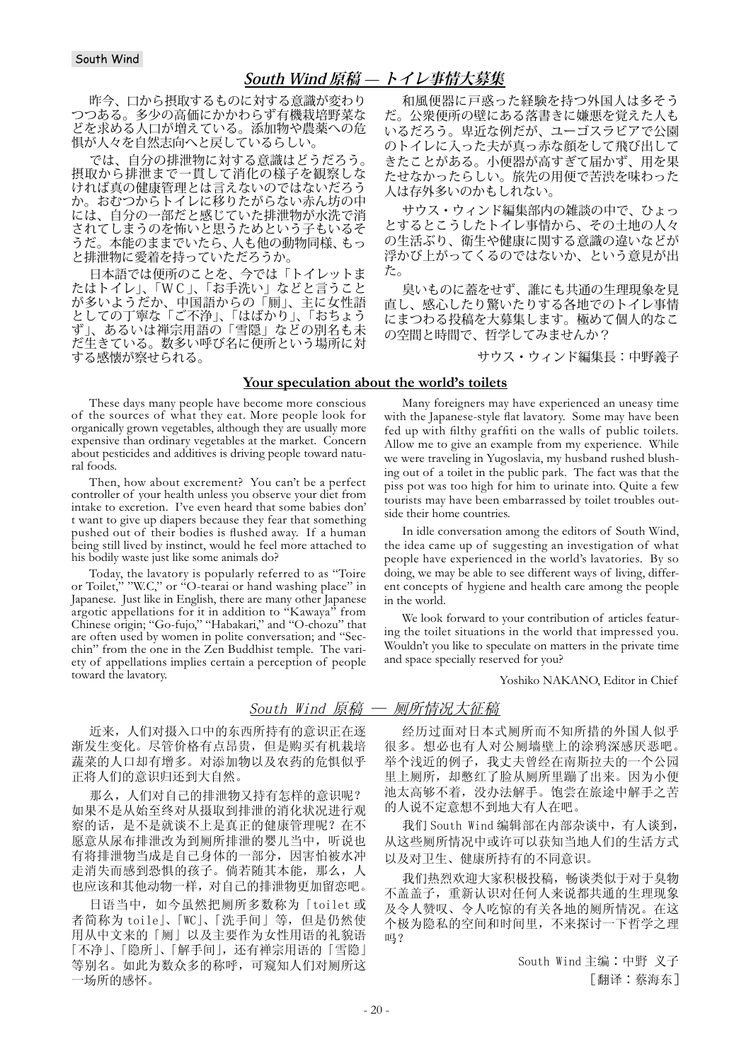### **South Wind 原稿 ̶ トイレ事情大募集**

昨今、口から摂取するものに対する意識が変わり つつある。多少の高価にかかわらず有機栽培野菜な どを求める人口が増えている。添加物や農薬への危 惧が人々を自然志向へと戻しているらしい。

では、自分の排泄物に対する意識はどうだろう。 摂取から排泄まで一貫して消化の様子を観察しな ければ真の健康管理とは言えないのではないだろう か。おむつからトイレに移りたがらない赤ん坊の中 には、自分の一部だと感じていた排泄物が水洗で消 されてしまうのを怖いと思うためという子もいるそ うだ。本能のままでいたら、人も他の動物同様、もっ と排泄物に愛着を持っていただろうか。

日本語では便所のことを、今では「トイレットま たはトイレ」、「WC」、「お手洗い」などと言うこと が多いようだか、中国語からの「厠」、主に女性語 としての丁寧な「ご不浄」、「はばかり」、「おちょう ず」、あるいは禅宗用語の「雪隠」などの別名も未 だ生きている。数多い呼び名に便所という場所に対 する感懐が察せられる。

These days many people have become more conscious of the sources of what they eat. More people look for organically grown vegetables, although they are usually more expensive than ordinary vegetables at the market. Concern about pesticides and additives is driving people toward natural foods.

Then, how about excrement? You can't be a perfect controller of your health unless you observe your diet from intake to excretion. I've even heard that some babies don' t want to give up diapers because they fear that something pushed out of their bodies is flushed away. If a human being still lived by instinct, would he feel more attached to his bodily waste just like some animals do?

Today, the lavatory is popularly referred to as "Toire<br>Toilet," "W.C," or "O-tearai or hand washing place" in or Toilet," "W.C," or "O-tearai or hand washing place" in Japanese. Just like in English, there are many other Japanese argotic appellations for it in addition to "Kawaya" from Chinese origin; "Go-fujo," "Habakari," and "O-chozu" that are often used by women in polite conversation; and "Secchin" from the one in the Zen Buddhist temple. The variety of appellations implies certain a perception of people toward the lavatory.

近来, 人们对摄入口中的东西所持有的意识正在逐 渐发生变化。尽管价格有点昂贵,但是购买有机栽培 蔬菜的人口却有增多。对添加物以及农药的危惧似乎 正将人们的意识归还到大自然。

那么, 人们对自己的排泄物又持有怎样的意识呢? 如果不是从始至终对从摄取到排泄的消化状况进行观 察的话, 是不是就谈不上是真正的健康管理呢? 在不 愿意从尿布排泄改为到厕所排泄的婴儿当中, 听说也 有将排泄物当成是自己身体的一部分,因害怕被水冲 走消失而感到恐惧的孩子。倘若随其本能, 那么, 人 也应该和其他动物一样, 对自己的排泄物更加留恋吧。

日语当中, 如今虽然把厕所多数称为 [toilet 或 者简称为 toile」、「WC」、「洗手间」等, 但是仍然使 用从中文来的「厕」以及主要作为女性用语的礼貌语 「不净」、「隐所」、「解手间」,还有禅宗用语的「雪隐」 等别名。如此为数众多的称呼,可窥知人们对厕所这 一场所的感怀。

和風便器に戸惑った経験を持つ外国人は多そう だ。公衆便所の壁にある落書きに嫌悪を覚えた人も いるだろう。卑近な例だが、ユーゴスラビアで公園 のトイレに入った夫が真っ赤な顔をして飛び出して きたことがある。小便器が高すぎて届かず、用を果 たせなかったらしい。旅先の用便で苦渋を味わった 人は存外多いのかもしれない。

サウス・ウィンド編集部内の雑談の中で、ひょっ とするとこうしたトイレ事情から、その土地の人々 の生活ぶり、衛生や健康に関する意識の違いなどが 浮かび上がってくるのではないか、という意見が出 た。

臭いものに蓋をせず、誰にも共通の生理現象を見 直し、感心したり驚いたりする各地でのトイレ事情 にまつわる投稿を大募集します。極めて個人的なこ の空間と時間で、哲学してみませんか?

サウス・ウィンド編集長:中野義子

#### **Your speculation about the world's toilets**

Many foreigners may have experienced an uneasy time with the Japanese-style flat lavatory. Some may have been fed up with filthy graffiti on the walls of public toilets. Allow me to give an example from my experience. While we were traveling in Yugoslavia, my husband rushed blushing out of a toilet in the public park. The fact was that the piss pot was too high for him to urinate into. Quite a few tourists may have been embarrassed by toilet troubles outside their home countries.

In idle conversation among the editors of South Wind, the idea came up of suggesting an investigation of what people have experienced in the world's lavatories. By so doing, we may be able to see different ways of living, different concepts of hygiene and health care among the people in the world.

We look forward to your contribution of articles featuring the toilet situations in the world that impressed you. Wouldn't you like to speculate on matters in the private time and space specially reserved for you?

Yoshiko NAKANO, Editor in Chief

#### South Wind 原稿 — 厕所情况大征稿

经历过面对日本式厕所而不知所措的外国人似乎 很多。想必也有人对公厕墙壁上的涂鸦深感厌恶吧。 举个浅近的例子, 我丈夫曾经在南斯拉夫的一个公园 里上厕所, 却憋红了脸从厕所里蹦了出来。因为小便 池太高够不着, 没办法解手。饱尝在旅途中解手之苦 的人说不定意想不到地大有人在吧。

我们 South Wind 编辑部在内部杂谈中, 有人谈到, 从这些厕所情况中或许可以获知当地人们的生活方式 以及对卫生、健康所持有的不同意识。

我们热烈欢迎大家积极投稿,畅谈类似于对于臭物 不盖盖子, 重新认识对任何人来说都共通的生理现象 及令人赞叹、令人吃惊的有关各地的厕所情况。在这 个极为隐私的空间和时间里, 不来探讨一下哲学之理 吗?

> South Wind 主编: 中野 义子 [翻译:蔡海东]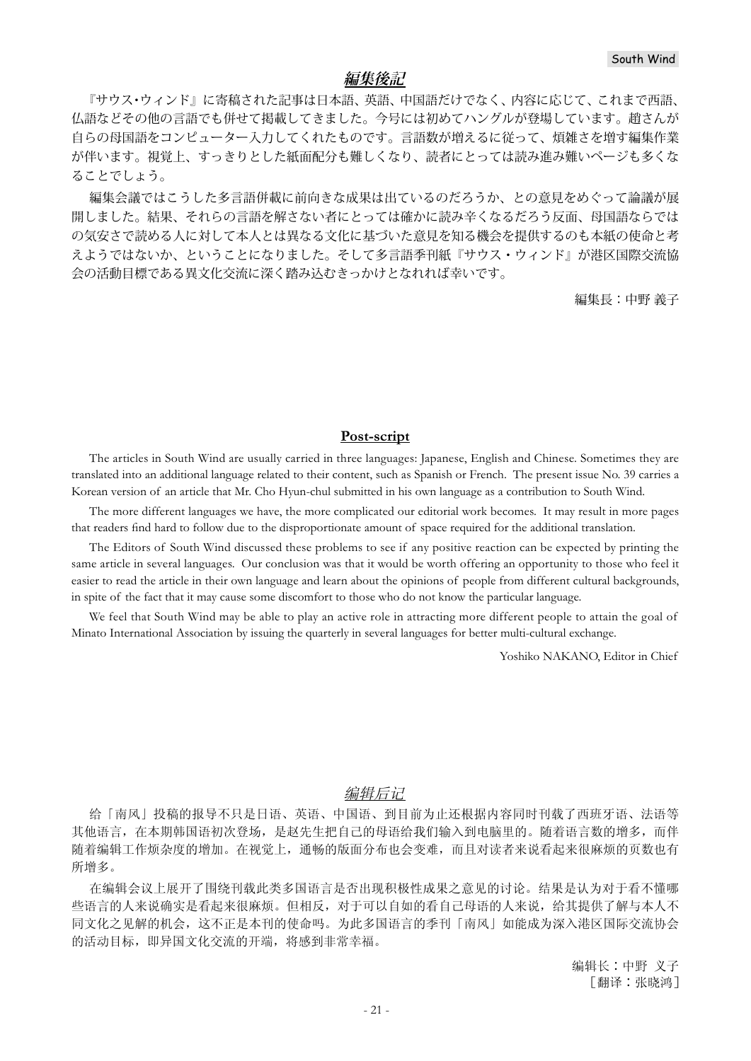### **編集後記**

『サウス・ウィンド』に寄稿された記事は日本語、英語、中国語だけでなく、内容に応じて、これまで西語、 仏語などその他の言語でも併せて掲載してきました。今号には初めてハングルが登場しています。趙さんが 自らの母国語をコンピューター入力してくれたものです。言語数が増えるに従って、煩雑さを増す編集作業 が伴います。視覚上、すっきりとした紙面配分も難しくなり、読者にとっては読み進み難いページも多くな ることでしょう。

編集会議ではこうした多言語併載に前向きな成果は出ているのだろうか、との意見をめぐって論議が展 開しました。結果、それらの言語を解さない者にとっては確かに読み辛くなるだろう反面、母国語ならでは の気安さで読める人に対して本人とは異なる文化に基づいた意見を知る機会を提供するのも本紙の使命と考 えようではないか、ということになりました。そして多言語季刊紙『サウス・ウィンド』が港区国際交流協 会の活動目標である異文化交流に深く踏み込むきっかけとなれれば幸いです。

編集長:中野 義子

#### **Post-script**

The articles in South Wind are usually carried in three languages: Japanese, English and Chinese. Sometimes they are translated into an additional language related to their content, such as Spanish or French. The present issue No. 39 carries a Korean version of an article that Mr. Cho Hyun-chul submitted in his own language as a contribution to South Wind.

The more different languages we have, the more complicated our editorial work becomes. It may result in more pages that readers find hard to follow due to the disproportionate amount of space required for the additional translation.

The Editors of South Wind discussed these problems to see if any positive reaction can be expected by printing the same article in several languages. Our conclusion was that it would be worth offering an opportunity to those who feel it easier to read the article in their own language and learn about the opinions of people from different cultural backgrounds, in spite of the fact that it may cause some discomfort to those who do not know the particular language.

We feel that South Wind may be able to play an active role in attracting more different people to attain the goal of Minato International Association by issuing the quarterly in several languages for better multi-cultural exchange.

Yoshiko NAKANO, Editor in Chief

### 编辑后记

给「南风」投稿的报导不只是日语、英语、中国语、到目前为止还根据内容同时刊载了西班牙语、法语等 其他语言, 在本期韩国语初次登场, 是赵先生把自己的母语给我们输入到电脑里的。随着语言数的增多, 而伴 随着编辑工作烦杂度的增加。在视觉上, 通畅的版面分布也会变难, 而且对读者来说看起来很麻烦的页数也有 所增多。

在编辑会议上展开了围绕刊载此类多国语言是否出现积极性成果之意见的讨论。结果是认为对于看不懂哪 些语言的人来说确实是看起来很麻烦。但相反,对于可以自如的看自己母语的人来说,给其提供了解与本人不 同文化之见解的机会,这不正是本刊的使命吗。为此多国语言的季刊「南风」如能成为深入港区国际交流协会 的活动目标, 即异国文化交流的开端, 将感到非常幸福。

> 编辑长:中野 义子 [翻译:张晓鸿]